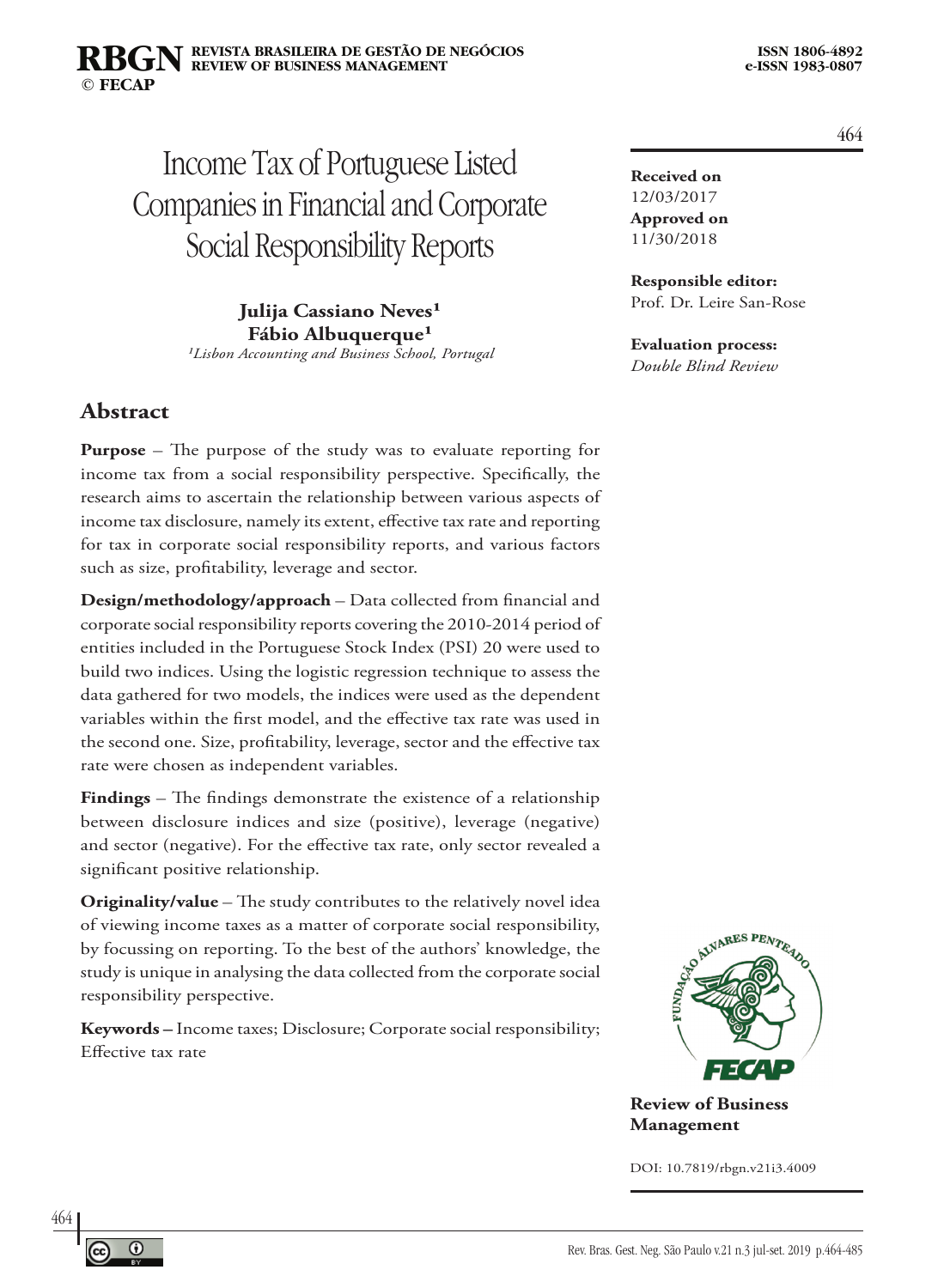#### **REVISTA BRASILEIRA DE GESTÃO DE NEGÓCIOS ISSN 1806-4892 REVIEW OF BUSINESS MANAGEMENT © FECAP RBGN**

# Income Tax of Portuguese Listed Companies in Financial and Corporate Social Responsibility Reports

**Julija Cassiano Neves<sup>1</sup> Fábio Albuquerque**<sup>1</sup> *¹Lisbon Accounting and Business School, Portugal*

### **Abstract**

**Purpose** – The purpose of the study was to evaluate reporting for income tax from a social responsibility perspective. Specifically, the research aims to ascertain the relationship between various aspects of income tax disclosure, namely its extent, effective tax rate and reporting for tax in corporate social responsibility reports, and various factors such as size, profitability, leverage and sector.

**Design/methodology/approach** – Data collected from financial and corporate social responsibility reports covering the 2010-2014 period of entities included in the Portuguese Stock Index (PSI) 20 were used to build two indices. Using the logistic regression technique to assess the data gathered for two models, the indices were used as the dependent variables within the first model, and the effective tax rate was used in the second one. Size, profitability, leverage, sector and the effective tax rate were chosen as independent variables.

**Findings** – The findings demonstrate the existence of a relationship between disclosure indices and size (positive), leverage (negative) and sector (negative). For the effective tax rate, only sector revealed a significant positive relationship.

**Originality/value** – The study contributes to the relatively novel idea of viewing income taxes as a matter of corporate social responsibility, by focussing on reporting. To the best of the authors' knowledge, the study is unique in analysing the data collected from the corporate social responsibility perspective.

**Keywords –** Income taxes; Disclosure; Corporate social responsibility; Effective tax rate

**Received on** 12/03/2017 **Approved on** 11/30/2018

**Responsible editor:**  Prof. Dr. Leire San-Rose

#### **Evaluation process:**

*Double Blind Review*



**Review of Business Management**

DOI: 10.7819/rbgn.v21i3.4009

464

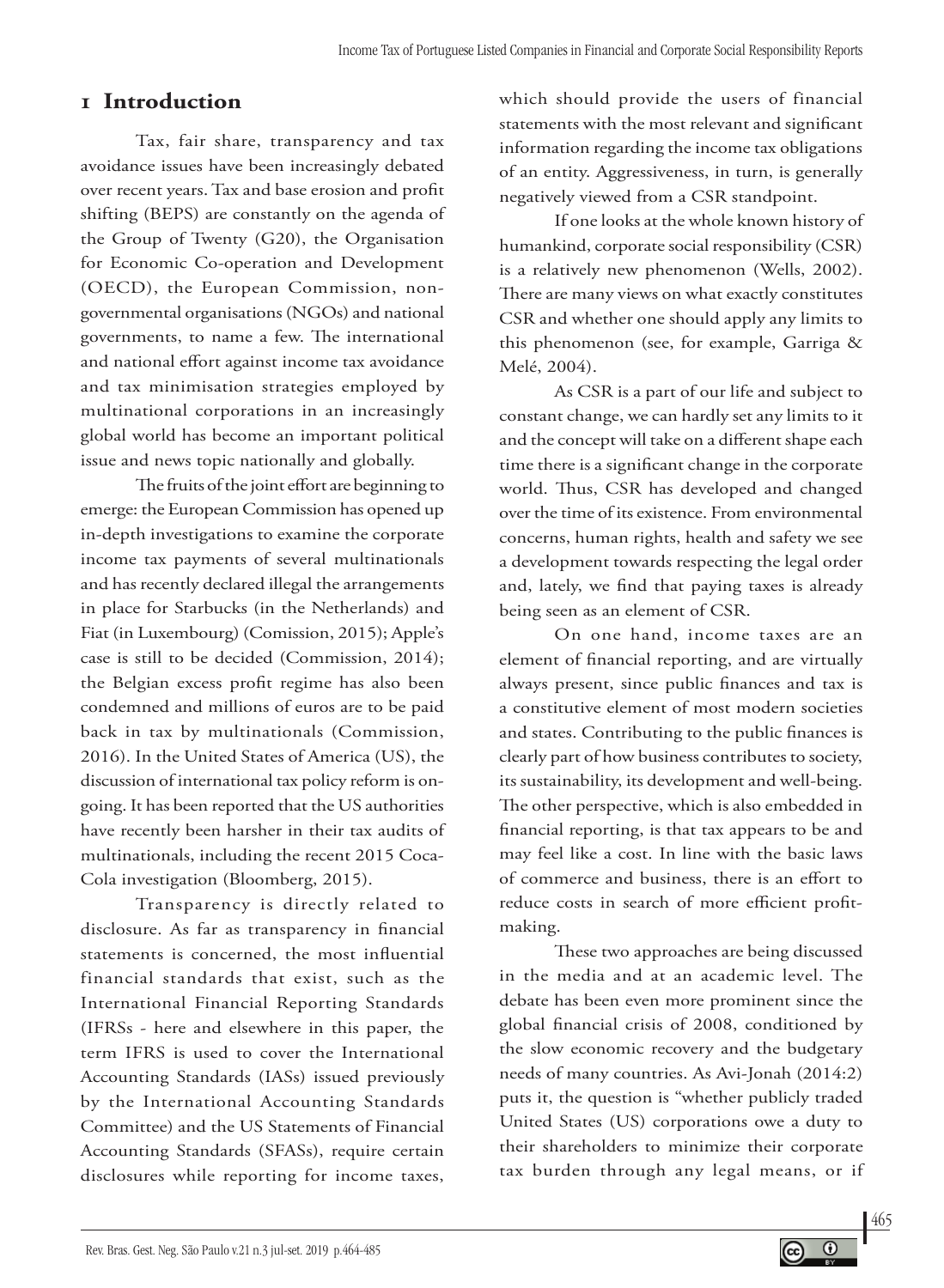## **1 Introduction**

Tax, fair share, transparency and tax avoidance issues have been increasingly debated over recent years. Tax and base erosion and profit shifting (BEPS) are constantly on the agenda of the Group of Twenty (G20), the Organisation for Economic Co-operation and Development (OECD), the European Commission, nongovernmental organisations (NGOs) and national governments, to name a few. The international and national effort against income tax avoidance and tax minimisation strategies employed by multinational corporations in an increasingly global world has become an important political issue and news topic nationally and globally.

The fruits of the joint effort are beginning to emerge: the European Commission has opened up in-depth investigations to examine the corporate income tax payments of several multinationals and has recently declared illegal the arrangements in place for Starbucks (in the Netherlands) and Fiat (in Luxembourg) (Comission, 2015); Apple's case is still to be decided (Commission, 2014); the Belgian excess profit regime has also been condemned and millions of euros are to be paid back in tax by multinationals (Commission, 2016). In the United States of America (US), the discussion of international tax policy reform is ongoing. It has been reported that the US authorities have recently been harsher in their tax audits of multinationals, including the recent 2015 Coca-Cola investigation (Bloomberg, 2015).

Transparency is directly related to disclosure. As far as transparency in financial statements is concerned, the most influential financial standards that exist, such as the International Financial Reporting Standards (IFRSs - here and elsewhere in this paper, the term IFRS is used to cover the International Accounting Standards (IASs) issued previously by the International Accounting Standards Committee) and the US Statements of Financial Accounting Standards (SFASs), require certain disclosures while reporting for income taxes,

which should provide the users of financial statements with the most relevant and significant information regarding the income tax obligations of an entity. Aggressiveness, in turn, is generally negatively viewed from a CSR standpoint.

If one looks at the whole known history of humankind, corporate social responsibility (CSR) is a relatively new phenomenon (Wells, 2002). There are many views on what exactly constitutes CSR and whether one should apply any limits to this phenomenon (see, for example, Garriga & Melé, 2004).

As CSR is a part of our life and subject to constant change, we can hardly set any limits to it and the concept will take on a different shape each time there is a significant change in the corporate world. Thus, CSR has developed and changed over the time of its existence. From environmental concerns, human rights, health and safety we see a development towards respecting the legal order and, lately, we find that paying taxes is already being seen as an element of CSR.

On one hand, income taxes are an element of financial reporting, and are virtually always present, since public finances and tax is a constitutive element of most modern societies and states. Contributing to the public finances is clearly part of how business contributes to society, its sustainability, its development and well-being. The other perspective, which is also embedded in financial reporting, is that tax appears to be and may feel like a cost. In line with the basic laws of commerce and business, there is an effort to reduce costs in search of more efficient profitmaking.

These two approaches are being discussed in the media and at an academic level. The debate has been even more prominent since the global financial crisis of 2008, conditioned by the slow economic recovery and the budgetary needs of many countries. As Avi-Jonah (2014:2) puts it, the question is "whether publicly traded United States (US) corporations owe a duty to their shareholders to minimize their corporate tax burden through any legal means, or if

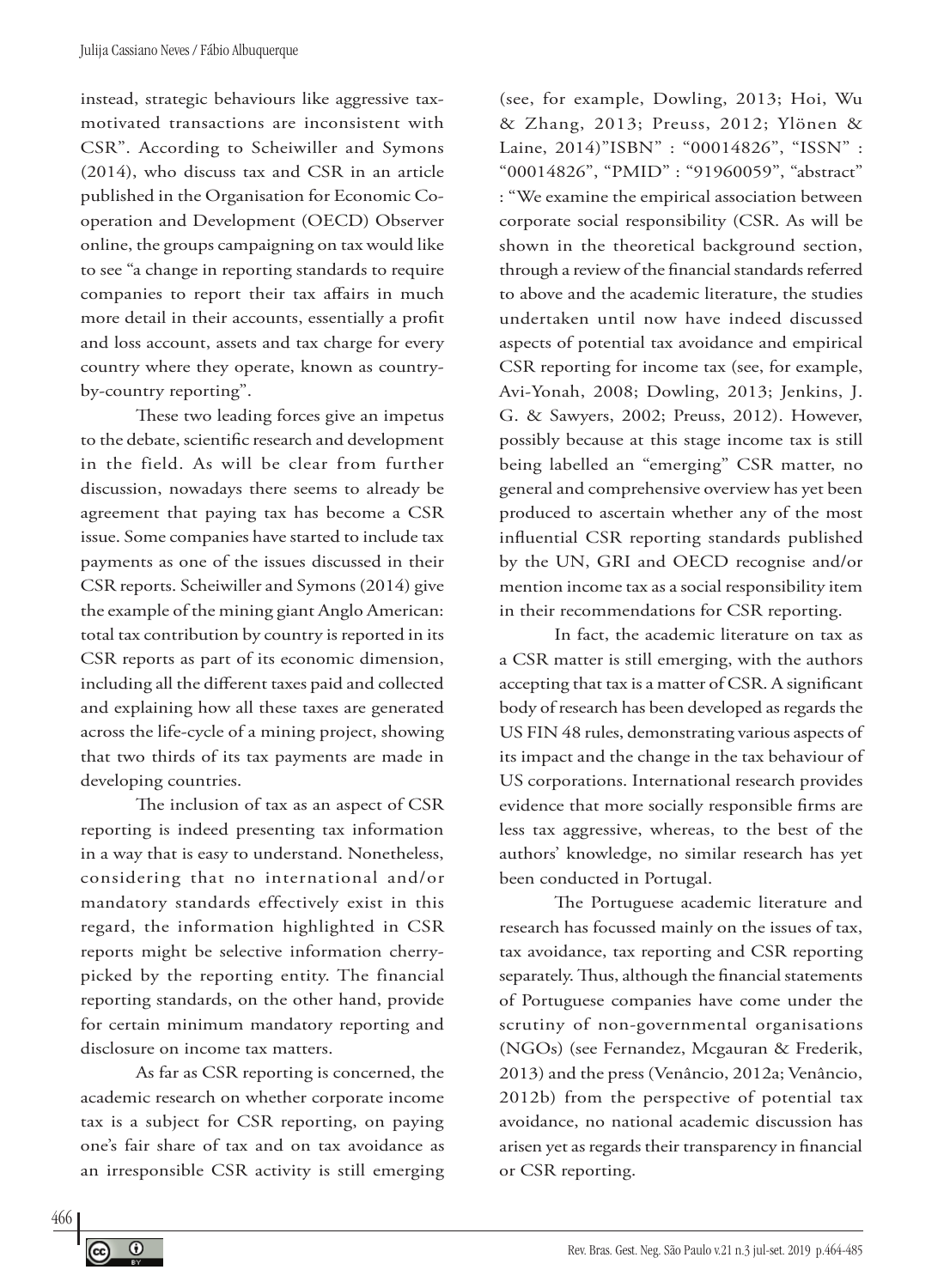instead, strategic behaviours like aggressive taxmotivated transactions are inconsistent with CSR". According to Scheiwiller and Symons (2014), who discuss tax and CSR in an article published in the Organisation for Economic Cooperation and Development (OECD) Observer online, the groups campaigning on tax would like to see "a change in reporting standards to require companies to report their tax affairs in much more detail in their accounts, essentially a profit and loss account, assets and tax charge for every country where they operate, known as countryby-country reporting".

These two leading forces give an impetus to the debate, scientific research and development in the field. As will be clear from further discussion, nowadays there seems to already be agreement that paying tax has become a CSR issue. Some companies have started to include tax payments as one of the issues discussed in their CSR reports. Scheiwiller and Symons (2014) give the example of the mining giant Anglo American: total tax contribution by country is reported in its CSR reports as part of its economic dimension, including all the different taxes paid and collected and explaining how all these taxes are generated across the life-cycle of a mining project, showing that two thirds of its tax payments are made in developing countries.

The inclusion of tax as an aspect of CSR reporting is indeed presenting tax information in a way that is easy to understand. Nonetheless, considering that no international and/or mandatory standards effectively exist in this regard, the information highlighted in CSR reports might be selective information cherrypicked by the reporting entity. The financial reporting standards, on the other hand, provide for certain minimum mandatory reporting and disclosure on income tax matters.

As far as CSR reporting is concerned, the academic research on whether corporate income tax is a subject for CSR reporting, on paying one's fair share of tax and on tax avoidance as an irresponsible CSR activity is still emerging

(see, for example, Dowling, 2013; Hoi, Wu & Zhang, 2013; Preuss, 2012; Ylönen & Laine, 2014)"ISBN" : "00014826", "ISSN" : "00014826", "PMID" : "91960059", "abstract" : "We examine the empirical association between corporate social responsibility (CSR. As will be shown in the theoretical background section, through a review of the financial standards referred to above and the academic literature, the studies undertaken until now have indeed discussed aspects of potential tax avoidance and empirical CSR reporting for income tax (see, for example, Avi-Yonah, 2008; Dowling, 2013; Jenkins, J. G. & Sawyers, 2002; Preuss, 2012). However, possibly because at this stage income tax is still being labelled an "emerging" CSR matter, no general and comprehensive overview has yet been produced to ascertain whether any of the most influential CSR reporting standards published by the UN, GRI and OECD recognise and/or mention income tax as a social responsibility item in their recommendations for CSR reporting.

In fact, the academic literature on tax as a CSR matter is still emerging, with the authors accepting that tax is a matter of CSR. A significant body of research has been developed as regards the US FIN 48 rules, demonstrating various aspects of its impact and the change in the tax behaviour of US corporations. International research provides evidence that more socially responsible firms are less tax aggressive, whereas, to the best of the authors' knowledge, no similar research has yet been conducted in Portugal.

The Portuguese academic literature and research has focussed mainly on the issues of tax, tax avoidance, tax reporting and CSR reporting separately. Thus, although the financial statements of Portuguese companies have come under the scrutiny of non-governmental organisations (NGOs) (see Fernandez, Mcgauran & Frederik, 2013) and the press (Venâncio, 2012a; Venâncio, 2012b) from the perspective of potential tax avoidance, no national academic discussion has arisen yet as regards their transparency in financial or CSR reporting.

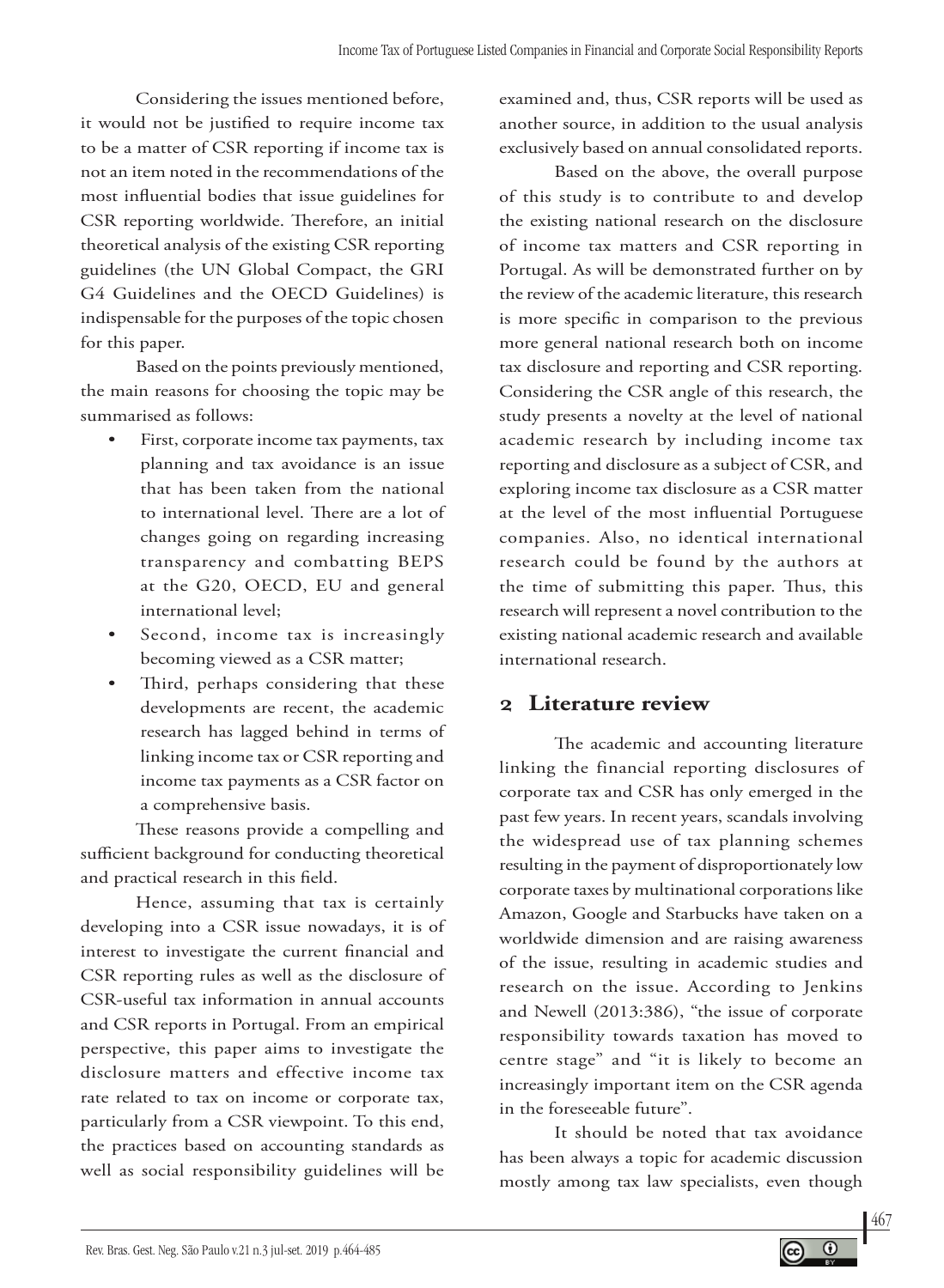Considering the issues mentioned before, it would not be justified to require income tax to be a matter of CSR reporting if income tax is not an item noted in the recommendations of the most influential bodies that issue guidelines for CSR reporting worldwide. Therefore, an initial theoretical analysis of the existing CSR reporting guidelines (the UN Global Compact, the GRI G4 Guidelines and the OECD Guidelines) is indispensable for the purposes of the topic chosen for this paper.

Based on the points previously mentioned, the main reasons for choosing the topic may be summarised as follows:

- First, corporate income tax payments, tax planning and tax avoidance is an issue that has been taken from the national to international level. There are a lot of changes going on regarding increasing transparency and combatting BEPS at the G20, OECD, EU and general international level;
- Second, income tax is increasingly becoming viewed as a CSR matter;
- Third, perhaps considering that these developments are recent, the academic research has lagged behind in terms of linking income tax or CSR reporting and income tax payments as a CSR factor on a comprehensive basis.

These reasons provide a compelling and sufficient background for conducting theoretical and practical research in this field.

Hence, assuming that tax is certainly developing into a CSR issue nowadays, it is of interest to investigate the current financial and CSR reporting rules as well as the disclosure of CSR-useful tax information in annual accounts and CSR reports in Portugal. From an empirical perspective, this paper aims to investigate the disclosure matters and effective income tax rate related to tax on income or corporate tax, particularly from a CSR viewpoint. To this end, the practices based on accounting standards as well as social responsibility guidelines will be

examined and, thus, CSR reports will be used as another source, in addition to the usual analysis exclusively based on annual consolidated reports.

Based on the above, the overall purpose of this study is to contribute to and develop the existing national research on the disclosure of income tax matters and CSR reporting in Portugal. As will be demonstrated further on by the review of the academic literature, this research is more specific in comparison to the previous more general national research both on income tax disclosure and reporting and CSR reporting. Considering the CSR angle of this research, the study presents a novelty at the level of national academic research by including income tax reporting and disclosure as a subject of CSR, and exploring income tax disclosure as a CSR matter at the level of the most influential Portuguese companies. Also, no identical international research could be found by the authors at the time of submitting this paper. Thus, this research will represent a novel contribution to the existing national academic research and available international research.

### **2 Literature review**

The academic and accounting literature linking the financial reporting disclosures of corporate tax and CSR has only emerged in the past few years. In recent years, scandals involving the widespread use of tax planning schemes resulting in the payment of disproportionately low corporate taxes by multinational corporations like Amazon, Google and Starbucks have taken on a worldwide dimension and are raising awareness of the issue, resulting in academic studies and research on the issue. According to Jenkins and Newell (2013:386), "the issue of corporate responsibility towards taxation has moved to centre stage" and "it is likely to become an increasingly important item on the CSR agenda in the foreseeable future".

It should be noted that tax avoidance has been always a topic for academic discussion mostly among tax law specialists, even though

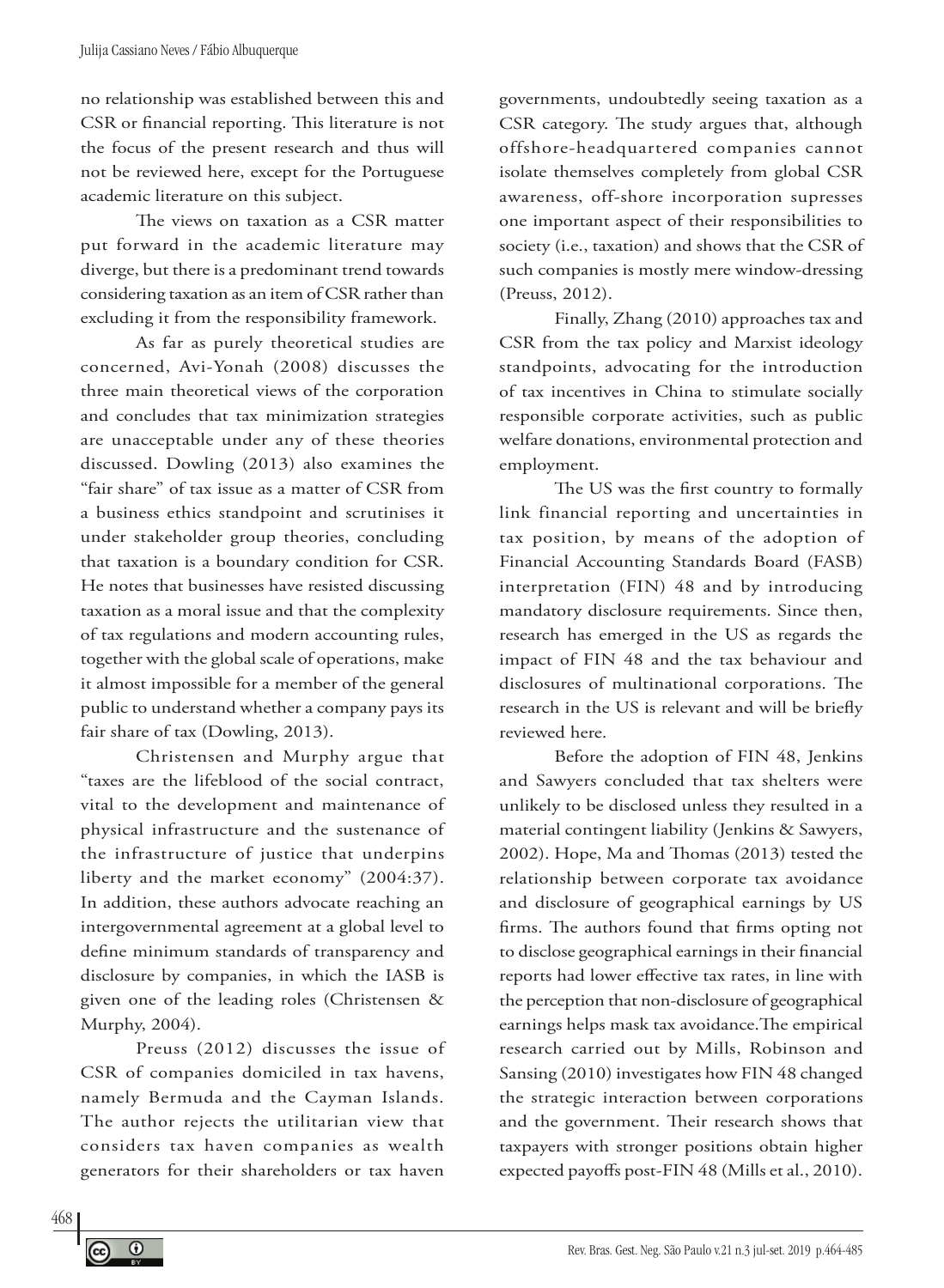no relationship was established between this and CSR or financial reporting. This literature is not the focus of the present research and thus will not be reviewed here, except for the Portuguese academic literature on this subject.

The views on taxation as a CSR matter put forward in the academic literature may diverge, but there is a predominant trend towards considering taxation as an item of CSR rather than excluding it from the responsibility framework.

As far as purely theoretical studies are concerned, Avi-Yonah (2008) discusses the three main theoretical views of the corporation and concludes that tax minimization strategies are unacceptable under any of these theories discussed. Dowling (2013) also examines the "fair share" of tax issue as a matter of CSR from a business ethics standpoint and scrutinises it under stakeholder group theories, concluding that taxation is a boundary condition for CSR. He notes that businesses have resisted discussing taxation as a moral issue and that the complexity of tax regulations and modern accounting rules, together with the global scale of operations, make it almost impossible for a member of the general public to understand whether a company pays its fair share of tax (Dowling, 2013).

Christensen and Murphy argue that "taxes are the lifeblood of the social contract, vital to the development and maintenance of physical infrastructure and the sustenance of the infrastructure of justice that underpins liberty and the market economy" (2004:37). In addition, these authors advocate reaching an intergovernmental agreement at a global level to define minimum standards of transparency and disclosure by companies, in which the IASB is given one of the leading roles (Christensen & Murphy, 2004).

Preuss (2012) discusses the issue of CSR of companies domiciled in tax havens, namely Bermuda and the Cayman Islands. The author rejects the utilitarian view that considers tax haven companies as wealth generators for their shareholders or tax haven

governments, undoubtedly seeing taxation as a CSR category. The study argues that, although offshore-headquartered companies cannot isolate themselves completely from global CSR awareness, off-shore incorporation supresses one important aspect of their responsibilities to society (i.e., taxation) and shows that the CSR of such companies is mostly mere window-dressing (Preuss, 2012).

Finally, Zhang (2010) approaches tax and CSR from the tax policy and Marxist ideology standpoints, advocating for the introduction of tax incentives in China to stimulate socially responsible corporate activities, such as public welfare donations, environmental protection and employment.

The US was the first country to formally link financial reporting and uncertainties in tax position, by means of the adoption of Financial Accounting Standards Board (FASB) interpretation (FIN) 48 and by introducing mandatory disclosure requirements. Since then, research has emerged in the US as regards the impact of FIN 48 and the tax behaviour and disclosures of multinational corporations. The research in the US is relevant and will be briefly reviewed here.

Before the adoption of FIN 48, Jenkins and Sawyers concluded that tax shelters were unlikely to be disclosed unless they resulted in a material contingent liability (Jenkins & Sawyers, 2002). Hope, Ma and Thomas (2013) tested the relationship between corporate tax avoidance and disclosure of geographical earnings by US firms. The authors found that firms opting not to disclose geographical earnings in their financial reports had lower effective tax rates, in line with the perception that non-disclosure of geographical earnings helps mask tax avoidance.The empirical research carried out by Mills, Robinson and Sansing (2010) investigates how FIN 48 changed the strategic interaction between corporations and the government. Their research shows that taxpayers with stronger positions obtain higher expected payoffs post-FIN 48 (Mills et al., 2010).

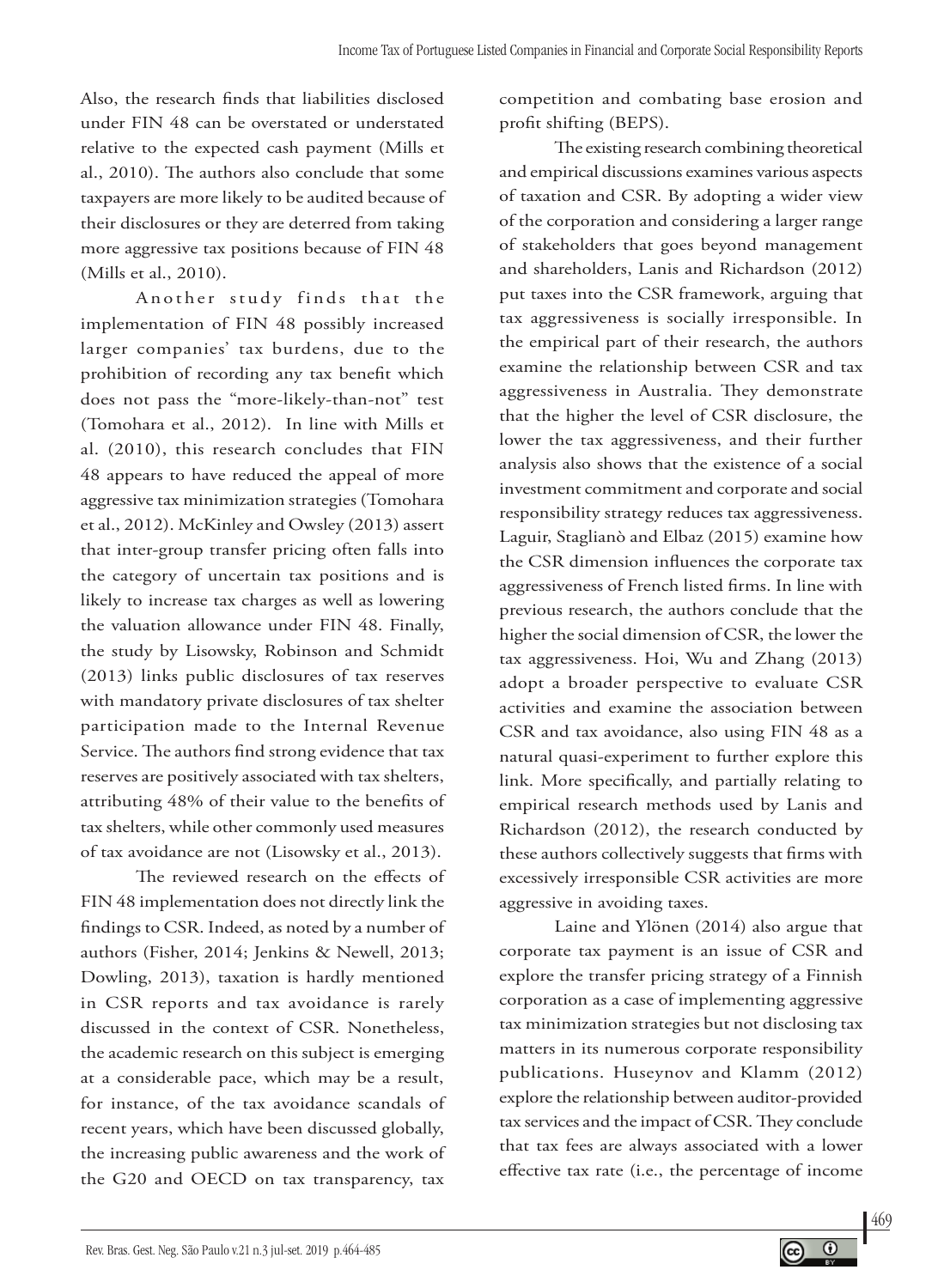Also, the research finds that liabilities disclosed under FIN 48 can be overstated or understated relative to the expected cash payment (Mills et al., 2010). The authors also conclude that some taxpayers are more likely to be audited because of their disclosures or they are deterred from taking more aggressive tax positions because of FIN 48 (Mills et al., 2010).

Another study finds that the implementation of FIN 48 possibly increased larger companies' tax burdens, due to the prohibition of recording any tax benefit which does not pass the "more-likely-than-not" test (Tomohara et al., 2012). In line with Mills et al. (2010), this research concludes that FIN 48 appears to have reduced the appeal of more aggressive tax minimization strategies (Tomohara et al., 2012). McKinley and Owsley (2013) assert that inter-group transfer pricing often falls into the category of uncertain tax positions and is likely to increase tax charges as well as lowering the valuation allowance under FIN 48. Finally, the study by Lisowsky, Robinson and Schmidt (2013) links public disclosures of tax reserves with mandatory private disclosures of tax shelter participation made to the Internal Revenue Service. The authors find strong evidence that tax reserves are positively associated with tax shelters, attributing 48% of their value to the benefits of tax shelters, while other commonly used measures of tax avoidance are not (Lisowsky et al., 2013).

The reviewed research on the effects of FIN 48 implementation does not directly link the findings to CSR. Indeed, as noted by a number of authors (Fisher, 2014; Jenkins & Newell, 2013; Dowling, 2013), taxation is hardly mentioned in CSR reports and tax avoidance is rarely discussed in the context of CSR. Nonetheless, the academic research on this subject is emerging at a considerable pace, which may be a result, for instance, of the tax avoidance scandals of recent years, which have been discussed globally, the increasing public awareness and the work of the G20 and OECD on tax transparency, tax

competition and combating base erosion and profit shifting (BEPS).

The existing research combining theoretical and empirical discussions examines various aspects of taxation and CSR. By adopting a wider view of the corporation and considering a larger range of stakeholders that goes beyond management and shareholders, Lanis and Richardson (2012) put taxes into the CSR framework, arguing that tax aggressiveness is socially irresponsible. In the empirical part of their research, the authors examine the relationship between CSR and tax aggressiveness in Australia. They demonstrate that the higher the level of CSR disclosure, the lower the tax aggressiveness, and their further analysis also shows that the existence of a social investment commitment and corporate and social responsibility strategy reduces tax aggressiveness. Laguir, Staglianò and Elbaz (2015) examine how the CSR dimension influences the corporate tax aggressiveness of French listed firms. In line with previous research, the authors conclude that the higher the social dimension of CSR, the lower the tax aggressiveness. Hoi, Wu and Zhang (2013) adopt a broader perspective to evaluate CSR activities and examine the association between CSR and tax avoidance, also using FIN 48 as a natural quasi-experiment to further explore this link. More specifically, and partially relating to empirical research methods used by Lanis and Richardson (2012), the research conducted by these authors collectively suggests that firms with excessively irresponsible CSR activities are more aggressive in avoiding taxes.

Laine and Ylönen (2014) also argue that corporate tax payment is an issue of CSR and explore the transfer pricing strategy of a Finnish corporation as a case of implementing aggressive tax minimization strategies but not disclosing tax matters in its numerous corporate responsibility publications. Huseynov and Klamm (2012) explore the relationship between auditor-provided tax services and the impact of CSR. They conclude that tax fees are always associated with a lower effective tax rate (i.e., the percentage of income

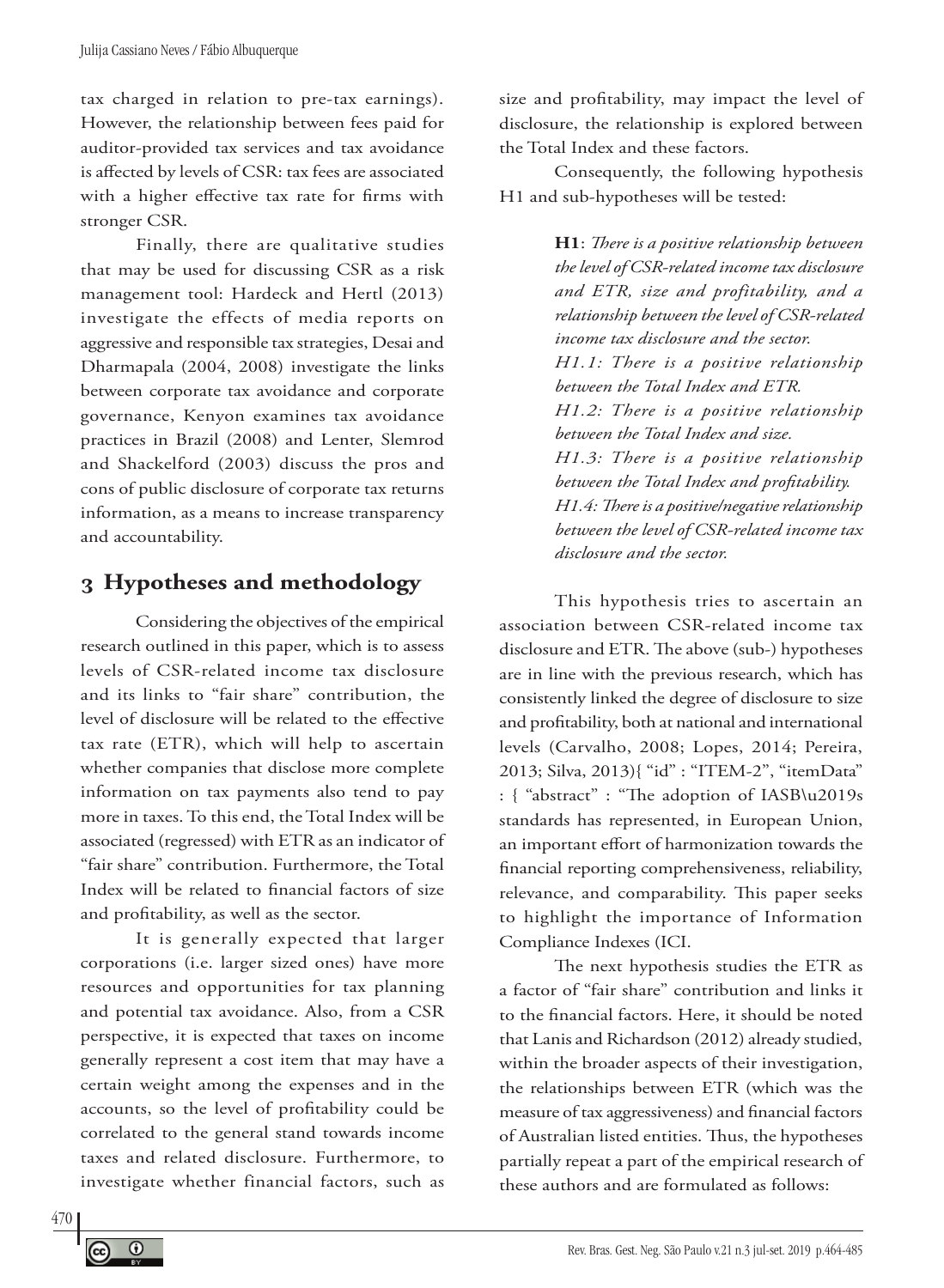tax charged in relation to pre-tax earnings). However, the relationship between fees paid for auditor-provided tax services and tax avoidance is affected by levels of CSR: tax fees are associated with a higher effective tax rate for firms with stronger CSR.

Finally, there are qualitative studies that may be used for discussing CSR as a risk management tool: Hardeck and Hertl (2013) investigate the effects of media reports on aggressive and responsible tax strategies, Desai and Dharmapala (2004, 2008) investigate the links between corporate tax avoidance and corporate governance, Kenyon examines tax avoidance practices in Brazil (2008) and Lenter, Slemrod and Shackelford (2003) discuss the pros and cons of public disclosure of corporate tax returns information, as a means to increase transparency and accountability.

# **3 Hypotheses and methodology**

Considering the objectives of the empirical research outlined in this paper, which is to assess levels of CSR-related income tax disclosure and its links to "fair share" contribution, the level of disclosure will be related to the effective tax rate (ETR), which will help to ascertain whether companies that disclose more complete information on tax payments also tend to pay more in taxes. To this end, the Total Index will be associated (regressed) with ETR as an indicator of "fair share" contribution. Furthermore, the Total Index will be related to financial factors of size and profitability, as well as the sector.

It is generally expected that larger corporations (i.e. larger sized ones) have more resources and opportunities for tax planning and potential tax avoidance. Also, from a CSR perspective, it is expected that taxes on income generally represent a cost item that may have a certain weight among the expenses and in the accounts, so the level of profitability could be correlated to the general stand towards income taxes and related disclosure. Furthermore, to investigate whether financial factors, such as

size and profitability, may impact the level of disclosure, the relationship is explored between the Total Index and these factors.

Consequently, the following hypothesis H1 and sub-hypotheses will be tested:

> **H1**: *There is a positive relationship between the level of CSR-related income tax disclosure and ETR, size and profitability, and a relationship between the level of CSR-related income tax disclosure and the sector. H1.1: There is a positive relationship between the Total Index and ETR. H1.2: There is a positive relationship between the Total Index and size. H1.3: There is a positive relationship between the Total Index and profitability. H1.4: There is a positive/negative relationship between the level of CSR-related income tax disclosure and the sector.*

This hypothesis tries to ascertain an association between CSR-related income tax disclosure and ETR. The above (sub-) hypotheses are in line with the previous research, which has consistently linked the degree of disclosure to size and profitability, both at national and international levels (Carvalho, 2008; Lopes, 2014; Pereira, 2013; Silva, 2013){ "id" : "ITEM-2", "itemData" : { "abstract" : "The adoption of IASB\u2019s standards has represented, in European Union, an important effort of harmonization towards the financial reporting comprehensiveness, reliability, relevance, and comparability. This paper seeks to highlight the importance of Information Compliance Indexes (ICI.

The next hypothesis studies the ETR as a factor of "fair share" contribution and links it to the financial factors. Here, it should be noted that Lanis and Richardson (2012) already studied, within the broader aspects of their investigation, the relationships between ETR (which was the measure of tax aggressiveness) and financial factors of Australian listed entities. Thus, the hypotheses partially repeat a part of the empirical research of these authors and are formulated as follows: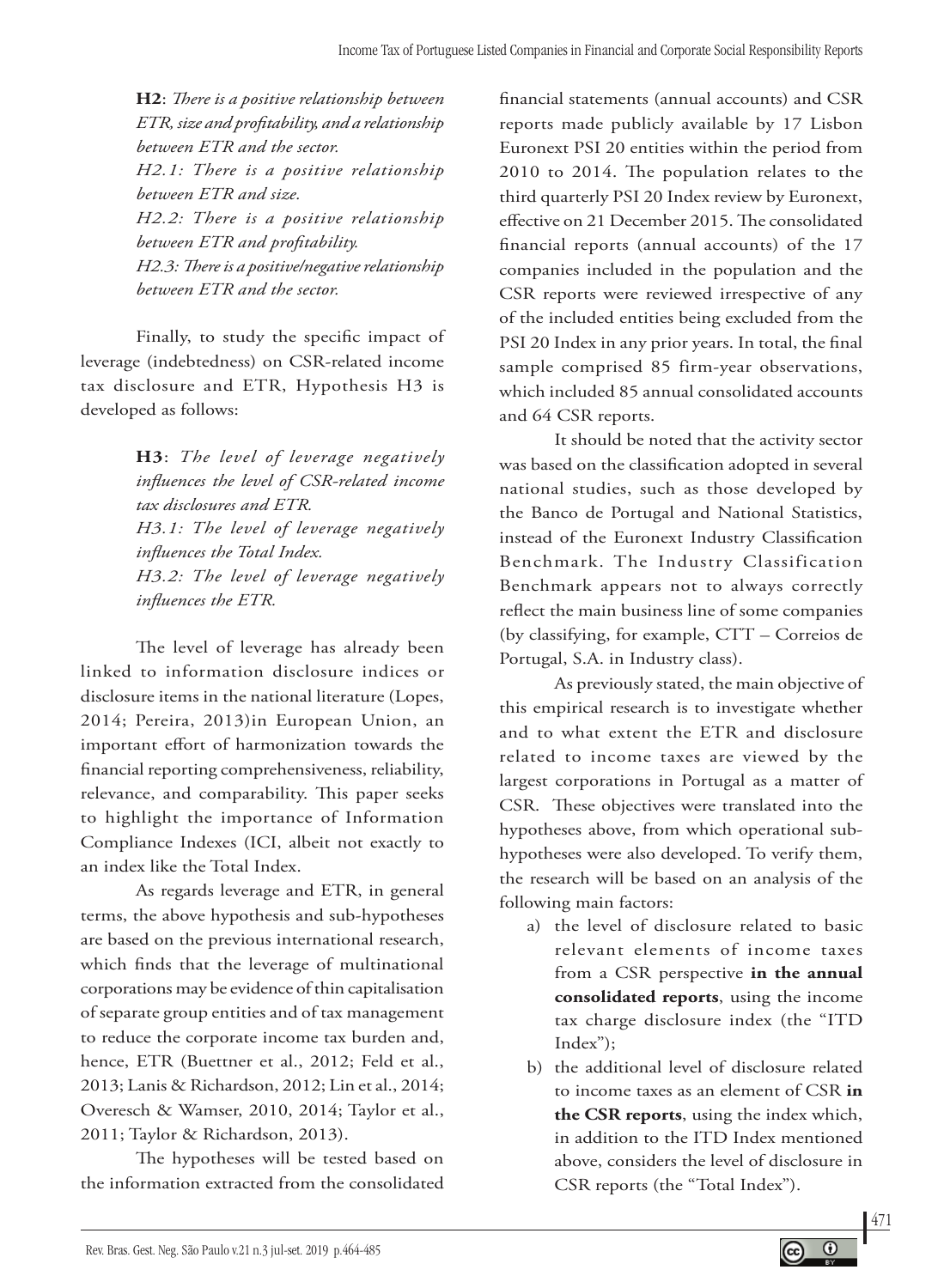**H2**: *There is a positive relationship between ETR, size and profitability, and a relationship between ETR and the sector. H2.1: There is a positive relationship between ETR and size. H2.2: There is a positive relationship between ETR and profitability. H2.3: There is a positive/negative relationship between ETR and the sector.*

Finally, to study the specific impact of leverage (indebtedness) on CSR-related income tax disclosure and ETR, Hypothesis H3 is developed as follows:

> **H3**: *The level of leverage negatively influences the level of CSR-related income tax disclosures and ETR. H3.1: The level of leverage negatively influences the Total Index. H3.2: The level of leverage negatively influences the ETR.*

The level of leverage has already been linked to information disclosure indices or disclosure items in the national literature (Lopes, 2014; Pereira, 2013)in European Union, an important effort of harmonization towards the financial reporting comprehensiveness, reliability, relevance, and comparability. This paper seeks to highlight the importance of Information Compliance Indexes (ICI, albeit not exactly to an index like the Total Index.

As regards leverage and ETR, in general terms, the above hypothesis and sub-hypotheses are based on the previous international research, which finds that the leverage of multinational corporations may be evidence of thin capitalisation of separate group entities and of tax management to reduce the corporate income tax burden and, hence, ETR (Buettner et al., 2012; Feld et al., 2013; Lanis & Richardson, 2012; Lin et al., 2014; Overesch & Wamser, 2010, 2014; Taylor et al., 2011; Taylor & Richardson, 2013).

The hypotheses will be tested based on the information extracted from the consolidated

financial statements (annual accounts) and CSR reports made publicly available by 17 Lisbon Euronext PSI 20 entities within the period from 2010 to 2014. The population relates to the third quarterly PSI 20 Index review by Euronext, effective on 21 December 2015. The consolidated financial reports (annual accounts) of the 17 companies included in the population and the CSR reports were reviewed irrespective of any of the included entities being excluded from the PSI 20 Index in any prior years. In total, the final sample comprised 85 firm-year observations, which included 85 annual consolidated accounts and 64 CSR reports.

It should be noted that the activity sector was based on the classification adopted in several national studies, such as those developed by the Banco de Portugal and National Statistics, instead of the Euronext Industry Classification Benchmark. The Industry Classification Benchmark appears not to always correctly reflect the main business line of some companies (by classifying, for example, CTT – Correios de Portugal, S.A. in Industry class).

As previously stated, the main objective of this empirical research is to investigate whether and to what extent the ETR and disclosure related to income taxes are viewed by the largest corporations in Portugal as a matter of CSR. These objectives were translated into the hypotheses above, from which operational subhypotheses were also developed. To verify them, the research will be based on an analysis of the following main factors:

- a) the level of disclosure related to basic relevant elements of income taxes from a CSR perspective **in the annual consolidated reports**, using the income tax charge disclosure index (the "ITD Index");
- b) the additional level of disclosure related to income taxes as an element of CSR **in the CSR reports**, using the index which, in addition to the ITD Index mentioned above, considers the level of disclosure in CSR reports (the "Total Index").

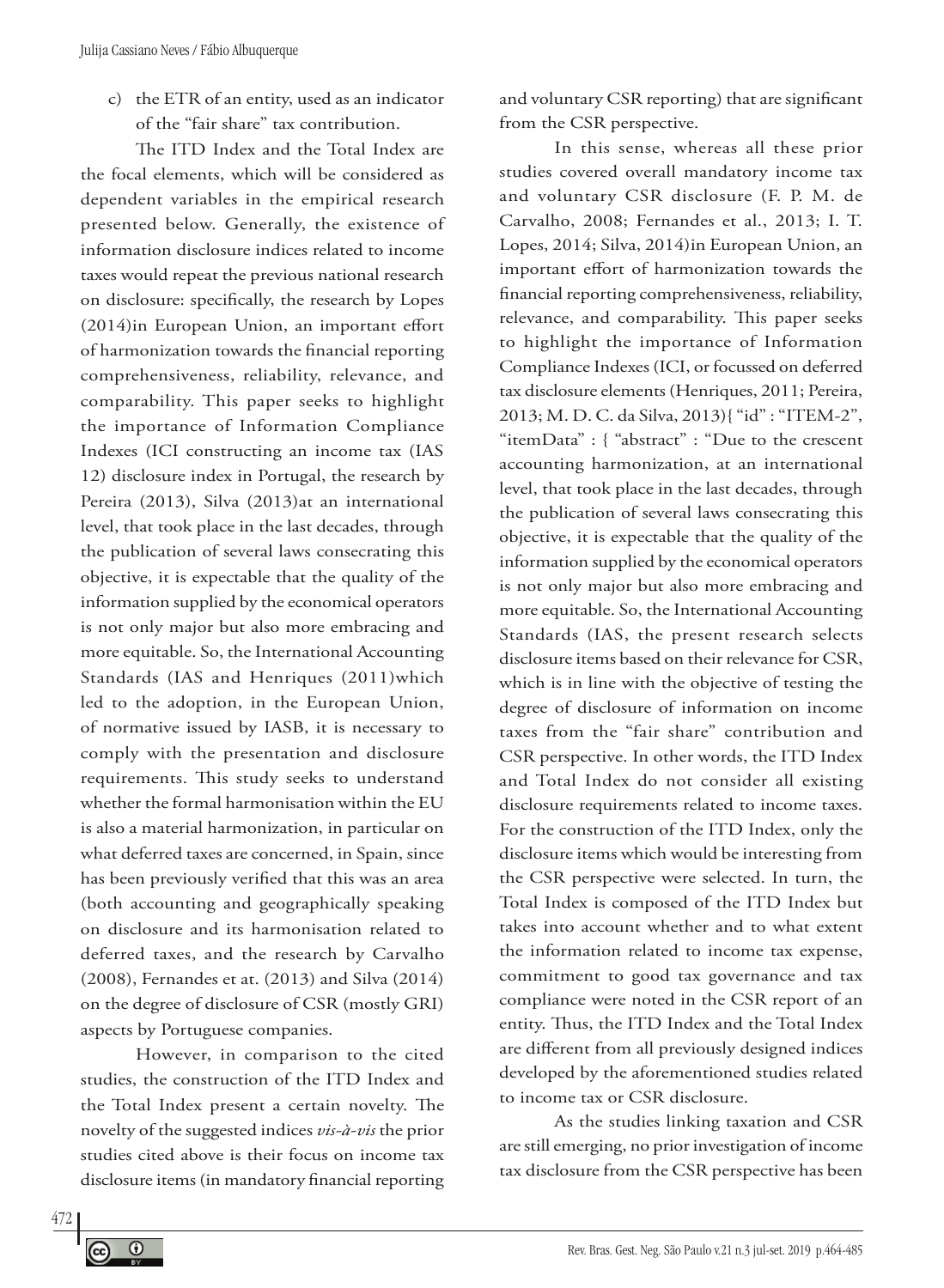c) the ETR of an entity, used as an indicator of the "fair share" tax contribution.

The ITD Index and the Total Index are the focal elements, which will be considered as dependent variables in the empirical research presented below. Generally, the existence of information disclosure indices related to income taxes would repeat the previous national research on disclosure: specifically, the research by Lopes (2014)in European Union, an important effort of harmonization towards the financial reporting comprehensiveness, reliability, relevance, and comparability. This paper seeks to highlight the importance of Information Compliance Indexes (ICI constructing an income tax (IAS 12) disclosure index in Portugal, the research by Pereira (2013), Silva (2013)at an international level, that took place in the last decades, through the publication of several laws consecrating this objective, it is expectable that the quality of the information supplied by the economical operators is not only major but also more embracing and more equitable. So, the International Accounting Standards (IAS and Henriques (2011)which led to the adoption, in the European Union, of normative issued by IASB, it is necessary to comply with the presentation and disclosure requirements. This study seeks to understand whether the formal harmonisation within the EU is also a material harmonization, in particular on what deferred taxes are concerned, in Spain, since has been previously verified that this was an area (both accounting and geographically speaking on disclosure and its harmonisation related to deferred taxes, and the research by Carvalho (2008), Fernandes et at. (2013) and Silva (2014) on the degree of disclosure of CSR (mostly GRI) aspects by Portuguese companies.

However, in comparison to the cited studies, the construction of the ITD Index and the Total Index present a certain novelty. The novelty of the suggested indices *vis-à-vis* the prior studies cited above is their focus on income tax disclosure items (in mandatory financial reporting and voluntary CSR reporting) that are significant from the CSR perspective.

In this sense, whereas all these prior studies covered overall mandatory income tax and voluntary CSR disclosure (F. P. M. de Carvalho, 2008; Fernandes et al., 2013; I. T. Lopes, 2014; Silva, 2014)in European Union, an important effort of harmonization towards the financial reporting comprehensiveness, reliability, relevance, and comparability. This paper seeks to highlight the importance of Information Compliance Indexes (ICI, or focussed on deferred tax disclosure elements (Henriques, 2011; Pereira, 2013; M. D. C. da Silva, 2013){ "id" : "ITEM-2", "itemData" : { "abstract" : "Due to the crescent accounting harmonization, at an international level, that took place in the last decades, through the publication of several laws consecrating this objective, it is expectable that the quality of the information supplied by the economical operators is not only major but also more embracing and more equitable. So, the International Accounting Standards (IAS, the present research selects disclosure items based on their relevance for CSR, which is in line with the objective of testing the degree of disclosure of information on income taxes from the "fair share" contribution and CSR perspective. In other words, the ITD Index and Total Index do not consider all existing disclosure requirements related to income taxes. For the construction of the ITD Index, only the disclosure items which would be interesting from the CSR perspective were selected. In turn, the Total Index is composed of the ITD Index but takes into account whether and to what extent the information related to income tax expense, commitment to good tax governance and tax compliance were noted in the CSR report of an entity. Thus, the ITD Index and the Total Index are different from all previously designed indices developed by the aforementioned studies related to income tax or CSR disclosure.

As the studies linking taxation and CSR are still emerging, no prior investigation of income tax disclosure from the CSR perspective has been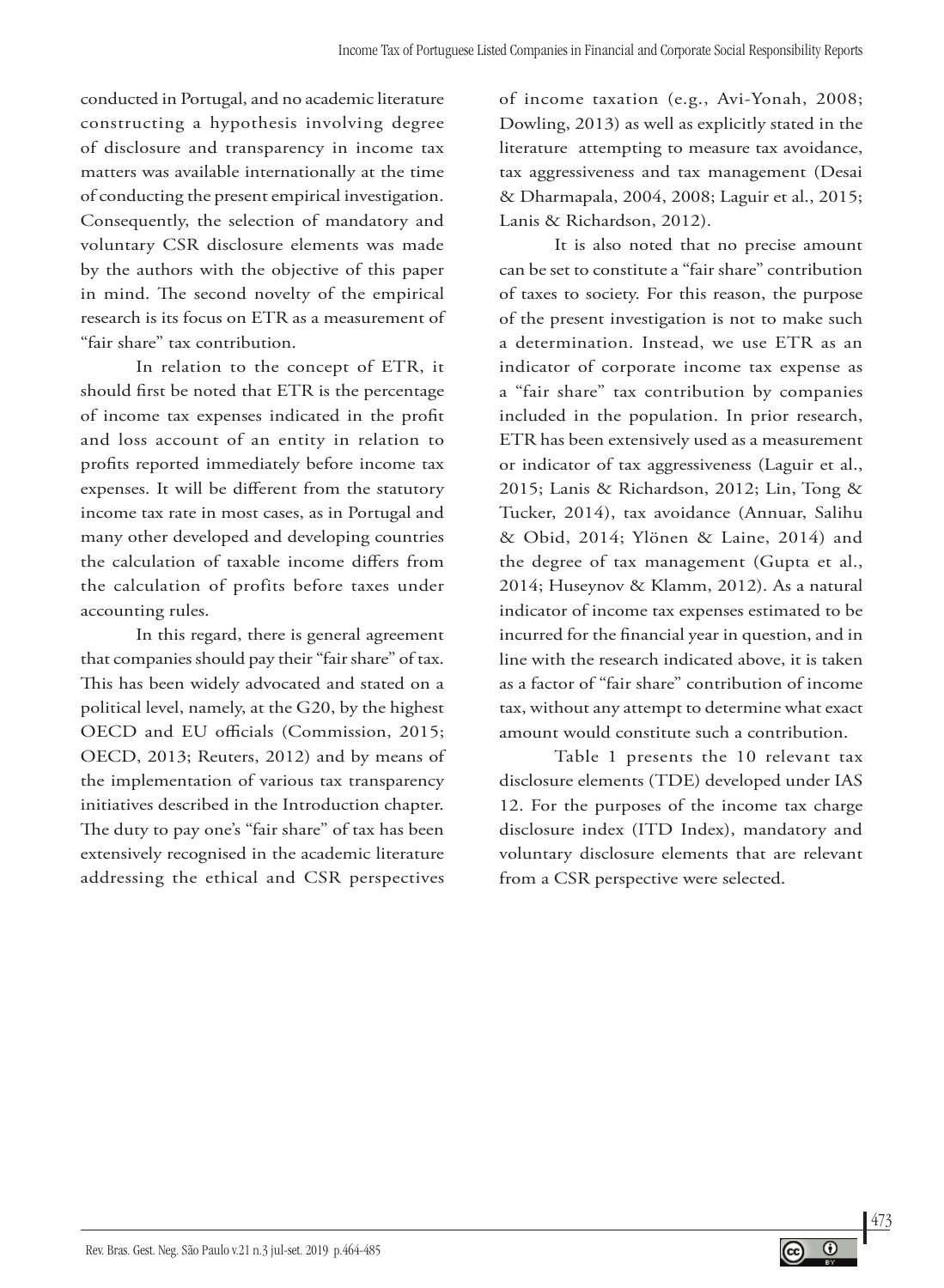conducted in Portugal, and no academic literature constructing a hypothesis involving degree of disclosure and transparency in income tax matters was available internationally at the time of conducting the present empirical investigation. Consequently, the selection of mandatory and voluntary CSR disclosure elements was made by the authors with the objective of this paper in mind. The second novelty of the empirical research is its focus on ETR as a measurement of "fair share" tax contribution.

In relation to the concept of ETR, it should first be noted that ETR is the percentage of income tax expenses indicated in the profit and loss account of an entity in relation to profits reported immediately before income tax expenses. It will be different from the statutory income tax rate in most cases, as in Portugal and many other developed and developing countries the calculation of taxable income differs from the calculation of profits before taxes under accounting rules.

In this regard, there is general agreement that companies should pay their "fair share" of tax. This has been widely advocated and stated on a political level, namely, at the G20, by the highest OECD and EU officials (Commission, 2015; OECD, 2013; Reuters, 2012) and by means of the implementation of various tax transparency initiatives described in the Introduction chapter. The duty to pay one's "fair share" of tax has been extensively recognised in the academic literature addressing the ethical and CSR perspectives

of income taxation (e.g., Avi-Yonah, 2008; Dowling, 2013) as well as explicitly stated in the literature attempting to measure tax avoidance, tax aggressiveness and tax management (Desai & Dharmapala, 2004, 2008; Laguir et al., 2015; Lanis & Richardson, 2012).

It is also noted that no precise amount can be set to constitute a "fair share" contribution of taxes to society. For this reason, the purpose of the present investigation is not to make such a determination. Instead, we use ETR as an indicator of corporate income tax expense as a "fair share" tax contribution by companies included in the population. In prior research, ETR has been extensively used as a measurement or indicator of tax aggressiveness (Laguir et al., 2015; Lanis & Richardson, 2012; Lin, Tong & Tucker, 2014), tax avoidance (Annuar, Salihu & Obid, 2014; Ylönen & Laine, 2014) and the degree of tax management (Gupta et al., 2014; Huseynov & Klamm, 2012). As a natural indicator of income tax expenses estimated to be incurred for the financial year in question, and in line with the research indicated above, it is taken as a factor of "fair share" contribution of income tax, without any attempt to determine what exact amount would constitute such a contribution.

Table 1 presents the 10 relevant tax disclosure elements (TDE) developed under IAS 12. For the purposes of the income tax charge disclosure index (ITD Index), mandatory and voluntary disclosure elements that are relevant from a CSR perspective were selected.

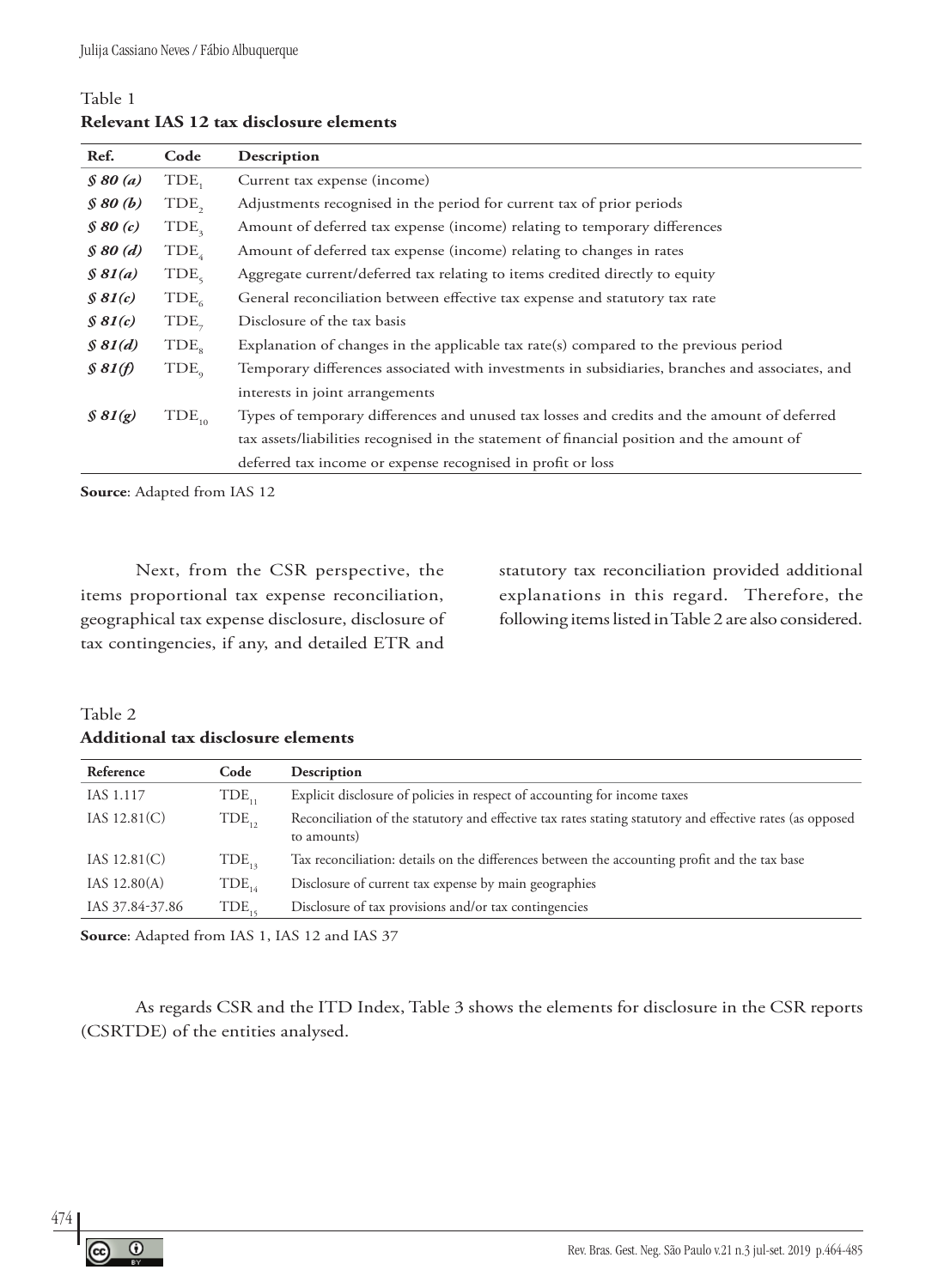### Table 1 **Relevant IAS 12 tax disclosure elements**

| Ref.          | Code             | Description                                                                                     |
|---------------|------------------|-------------------------------------------------------------------------------------------------|
| $\int$ 80 (a) | TDE              | Current tax expense (income)                                                                    |
| \$80(b)       | TDE,             | Adjustments recognised in the period for current tax of prior periods                           |
| $\int$ 80 (c) | TDE <sub>3</sub> | Amount of deferred tax expense (income) relating to temporary differences                       |
| $\int$ 80 (d) | TDE <sub>4</sub> | Amount of deferred tax expense (income) relating to changes in rates                            |
| \$81(a)       | TDE <sub>5</sub> | Aggregate current/deferred tax relating to items credited directly to equity                    |
| \$81(c)       | TDE <sub>6</sub> | General reconciliation between effective tax expense and statutory tax rate                     |
| \$81(c)       | $TDE_{7}$        | Disclosure of the tax basis                                                                     |
| \$81(d)       | TDE <sub>s</sub> | Explanation of changes in the applicable tax rate(s) compared to the previous period            |
| \$81(f)       | $TDE_{\alpha}$   | Temporary differences associated with investments in subsidiaries, branches and associates, and |
|               |                  | interests in joint arrangements                                                                 |
| \$81(g)       | $TDE_{10}$       | Types of temporary differences and unused tax losses and credits and the amount of deferred     |
|               |                  | tax assets/liabilities recognised in the statement of financial position and the amount of      |
|               |                  | deferred tax income or expense recognised in profit or loss                                     |

**Source**: Adapted from IAS 12

Next, from the CSR perspective, the items proportional tax expense reconciliation, geographical tax expense disclosure, disclosure of tax contingencies, if any, and detailed ETR and

statutory tax reconciliation provided additional explanations in this regard. Therefore, the following items listed in Table 2 are also considered.

### Table 2 **Additional tax disclosure elements**

| Reference       | Code              | Description                                                                                                              |
|-----------------|-------------------|--------------------------------------------------------------------------------------------------------------------------|
| IAS 1.117       | TDE <sub></sub>   | Explicit disclosure of policies in respect of accounting for income taxes                                                |
| IAS $12.81(C)$  | $TDE_{12}$        | Reconciliation of the statutory and effective tax rates stating statutory and effective rates (as opposed<br>to amounts) |
| IAS $12.81(C)$  | TDE <sub>12</sub> | Tax reconciliation: details on the differences between the accounting profit and the tax base                            |
| IAS $12.80(A)$  | $TDE_{14}$        | Disclosure of current tax expense by main geographies                                                                    |
| IAS 37.84-37.86 | TDE.              | Disclosure of tax provisions and/or tax contingencies                                                                    |

**Source**: Adapted from IAS 1, IAS 12 and IAS 37

As regards CSR and the ITD Index, Table 3 shows the elements for disclosure in the CSR reports (CSRTDE) of the entities analysed.

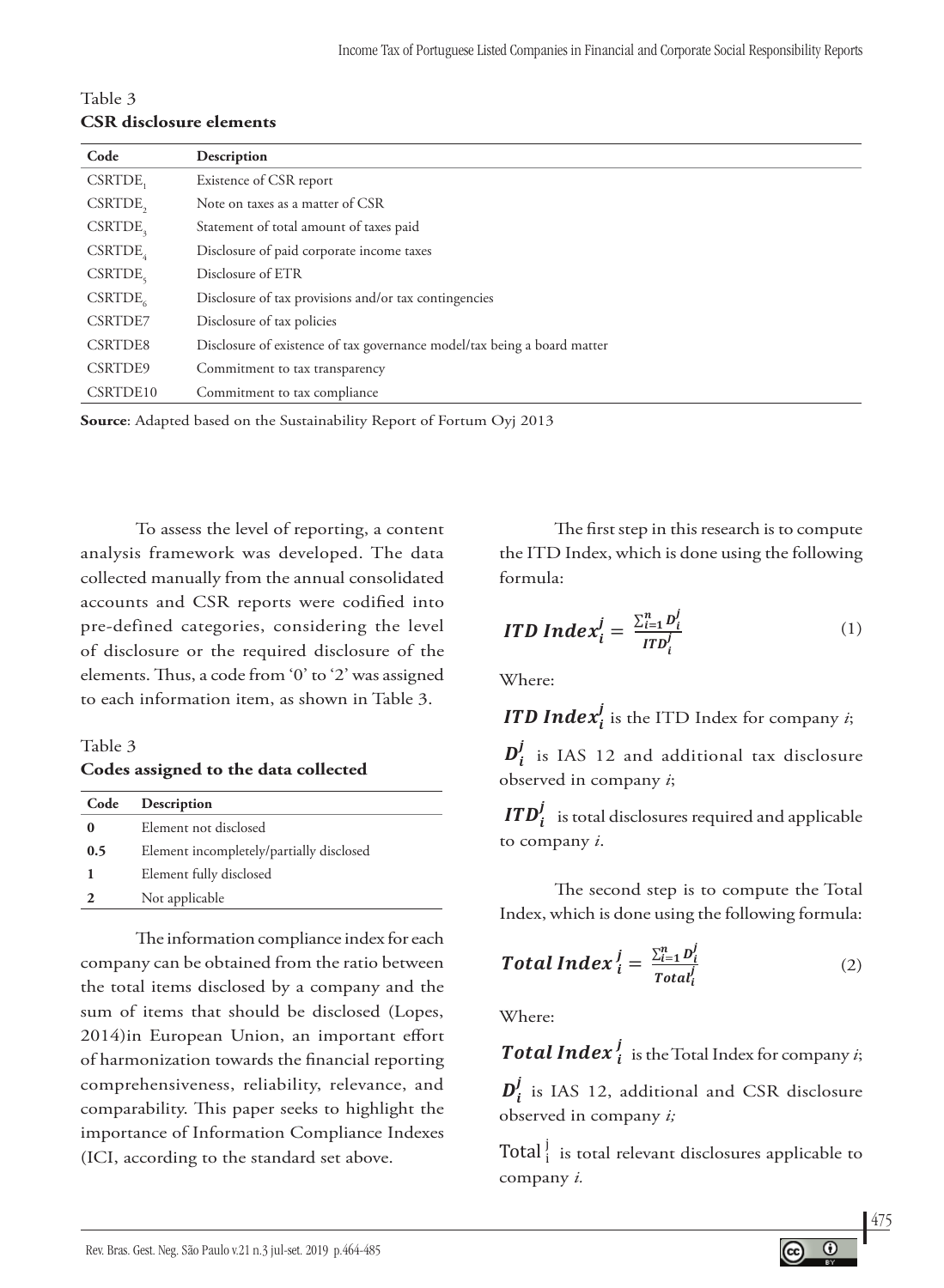| Table 3                        |
|--------------------------------|
| <b>CSR</b> disclosure elements |

| Code                  | Description                                                              |
|-----------------------|--------------------------------------------------------------------------|
| CSRTDE,               | Existence of CSR report                                                  |
| CSRTDE,               | Note on taxes as a matter of CSR                                         |
| $CSRTDE$ <sub>3</sub> | Statement of total amount of taxes paid                                  |
| CSRTDE                | Disclosure of paid corporate income taxes                                |
| CSRTDE                | Disclosure of ETR                                                        |
| CSRTDE <sub>6</sub>   | Disclosure of tax provisions and/or tax contingencies                    |
| <b>CSRTDE7</b>        | Disclosure of tax policies                                               |
| CSRTDE8               | Disclosure of existence of tax governance model/tax being a board matter |
| CSRTDE9               | Commitment to tax transparency                                           |
| CSRTDE10              | Commitment to tax compliance                                             |
|                       |                                                                          |

**Source**: Adapted based on the Sustainability Report of Fortum Oyj 2013 **0,5** Elemento divulgado incompletamente/parcialmente **0** Elemento não divulgado **0.5** Element incompletely/partially disclosed **Table 3 Codes assigned to the data collected 1** Elemento totalmente divulgado  $\frac{1}{201}$  $T_{\text{Cov}}$   $\frac{1}{201}$ 

To assess the level of reporting, a content analysis framework was developed. The data collected manually from the annual consolidated accounts and CSR reports were codified into pre-defined categories, considering the level of disclosure or the required disclosure of the elements. Thus, a code from '0' to '2' was assigned to each information item, as shown in Table 3.

Table 3 **Codes assigned to the data collected**

| Description                              |
|------------------------------------------|
| Element not disclosed                    |
| Element incompletely/partially disclosed |
| Element fully disclosed                  |
| Not applicable                           |
|                                          |

The information compliance index for each company can be obtained from the ratio between the total items disclosed by a company and the sum of items that should be disclosed (Lopes, 2014)in European Union, an important effort of harmonization towards the financial reporting comprehensiveness, reliability, relevance, and comparability. This paper seeks to highlight the importance of Information Compliance Indexes (ICI, according to the standard set above.

The first step in this research is to compute the ITD Index, which is done using the following formula: the ITD Index, which is done using the following<br>Computed to a normal segment of anormal seguinte formula:  $\frac{1}{2}$ The first step in this research is to compute O primeiro passo desta pesquisa é calcular o Índice ITD com a seguinte fórmula:  $\begin{array}{c}\n\text{formula:}\n\end{array}$ **1** Elemento totalmente divulgado The first step in this researcl O índice de conformidade das informações para cada empresa pode ser obtido por meio do the ITD Index, wh

$$
\text{ITD Index}_{i}^{j} = \frac{\sum_{i=1}^{n} D_{i}^{j}}{\text{ITD}_{i}^{j}} \tag{1}
$$

Where: (Lopes, 2014), according to the standard set above.

**ITD Index**<sup>*i*</sup><sub>*i*</sub> is the ITD Index for company *i*; ITD Index $i^{\prime}_i$  is the ITD Index for company  $i;$ **The finally** is the ITD findex for company  $\ell$ , ITD Index<sup>j</sup> is the e ITD Index for company  $i;$ **ITD Index'** is the ITD Index for company *i*;

 $D_i^j$  is IAS 12 and additional tax disclosure observed in company *i*;  $\mathbf{v}_i$  is the 12  $\overline{\phantom{a}}^{i}$ betweed in company *i*; Onde:

 is total disclosures required and applicable to company *i*.  $\sum_{i=1}^{n}$  $\sum_{i=1}^n$  $\frac{1}{\sqrt{1-\frac{1}{\sqrt{1-\frac{1}{\sqrt{1-\frac{1}{\sqrt{1-\frac{1}{\sqrt{1-\frac{1}{\sqrt{1-\frac{1}{\sqrt{1-\frac{1}{\sqrt{1-\frac{1}{\sqrt{1-\frac{1}{\sqrt{1-\frac{1}{\sqrt{1-\frac{1}{\sqrt{1-\frac{1}{\sqrt{1-\frac{1}{\sqrt{1-\frac{1}{\sqrt{1-\frac{1}{\sqrt{1-\frac{1}{\sqrt{1-\frac{1}{\sqrt{1-\frac{1}{\sqrt{1-\frac{1}{\sqrt{1-\frac{1}{\sqrt{1-\frac{1}{\sqrt{1-\frac{1}{\sqrt{1-\frac{1}{\sqrt{1-\frac{1$  $\mathbf{F} \mathbf{D}^f$  de exigidation expresses exigidas de aplicable to company *i*.  $\boldsymbol{ITD}_t^j$  is total disclosures required and applicable  $\mathcal{L}$  segundo passo é calcular o Índice Total com a seguinte fórmula:  $\mathcal{L}$ osures required and applicable  $\frac{1}{\sqrt{2}}$  $\sum_{i=1}^{\infty}$  divulgation and  $i$ ; expressed in equation  $\sum_{i=1}^{\infty}$  $ITD<sup>j</sup>$  , is total disclosures required and anni Τ  $\epsilon$  company  $\iota$ ;

tep is to compute the Total mae The second step is to compute the Total Interested compare the setting of the setting of the setting of the setting of the setting of the setting of the setting of the setting of the setting of the setting of the setting of the setting of the setting of the sett Index, which is done using the following formula: ndes, when is done using the following formula.  $\mathbf{r}$ 

**Total Index** 
$$
i = \frac{\sum_{i=1}^{n} D_i^j}{Total_i^j}
$$
 (2)

 $\ddot{W}$  $h$ ere:  $\mathbf{v}$  é a divulgação adicional e de RSC, e conforme a IAS 12 observada na empresa *i;* Where:  $W<sub>here</sub>$ 

 is total relevant disclosures applicable to company *i.* is total relevant disclosures applicable to company *i.*  $\boldsymbol{T}$ otal Index  ${}^{j}_{i}$  is the Total Index for company  $i;$ é o total de divulgações relevantes aplicáveis à empresa *i.* **Total Index**  $\frac{1}{i}$  is the Total Index for comp

 $D_i$  is this 12, additional and USK disclosure observed in company i;  $\mathbf{r}$  $\boldsymbol{D}_i^j$  is IAS 12, additional and CSR disclosure observed in company *i*;  $\mathbf{D}_i^j$  is IAS 12, additional and CSR disclosure

 $\left[\text{Total}\right]$  is total relevant disclosures applicable to  $\mathcal{L}$ **i** for a relevant disclosures applicable to **i**s the Total Index for company *i*; é o total de divulgações relevantes aplicáveis à empresa *i.*  $\sum_i$   $\sum_i$  disclosure observed in company *i*.  $\mathbf{company}\ i.$ Total  $\frac{1}{i}$  is total relevant disclosures applicable to

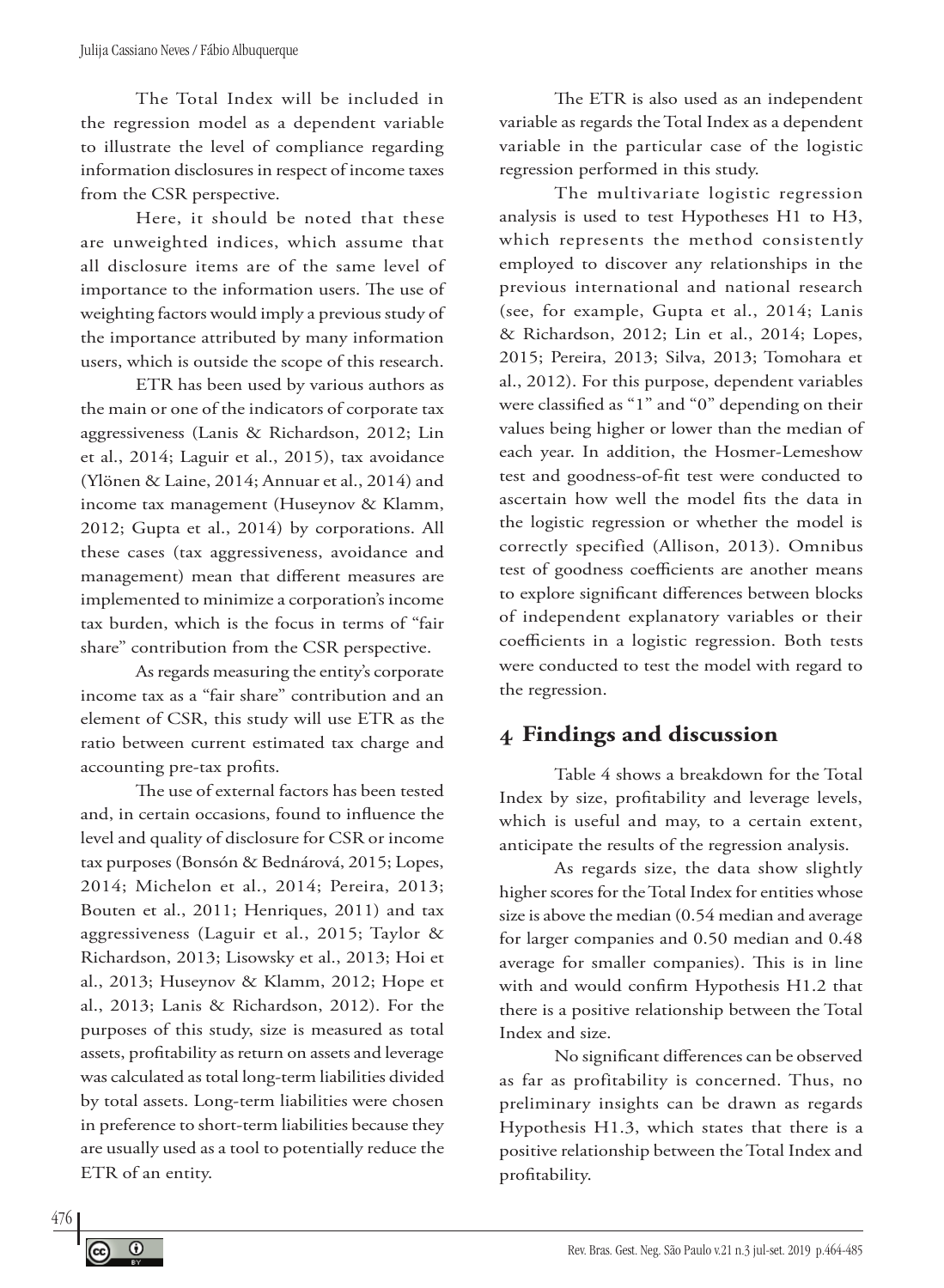The Total Index will be included in the regression model as a dependent variable to illustrate the level of compliance regarding information disclosures in respect of income taxes from the CSR perspective.

Here, it should be noted that these are unweighted indices, which assume that all disclosure items are of the same level of importance to the information users. The use of weighting factors would imply a previous study of the importance attributed by many information users, which is outside the scope of this research.

ETR has been used by various authors as the main or one of the indicators of corporate tax aggressiveness (Lanis & Richardson, 2012; Lin et al., 2014; Laguir et al., 2015), tax avoidance (Ylönen & Laine, 2014; Annuar et al., 2014) and income tax management (Huseynov & Klamm, 2012; Gupta et al., 2014) by corporations. All these cases (tax aggressiveness, avoidance and management) mean that different measures are implemented to minimize a corporation's income tax burden, which is the focus in terms of "fair share" contribution from the CSR perspective.

As regards measuring the entity's corporate income tax as a "fair share" contribution and an element of CSR, this study will use ETR as the ratio between current estimated tax charge and accounting pre-tax profits.

The use of external factors has been tested and, in certain occasions, found to influence the level and quality of disclosure for CSR or income tax purposes (Bonsón & Bednárová, 2015; Lopes, 2014; Michelon et al., 2014; Pereira, 2013; Bouten et al., 2011; Henriques, 2011) and tax aggressiveness (Laguir et al., 2015; Taylor & Richardson, 2013; Lisowsky et al., 2013; Hoi et al., 2013; Huseynov & Klamm, 2012; Hope et al., 2013; Lanis & Richardson, 2012). For the purposes of this study, size is measured as total assets, profitability as return on assets and leverage was calculated as total long-term liabilities divided by total assets. Long-term liabilities were chosen in preference to short-term liabilities because they are usually used as a tool to potentially reduce the ETR of an entity.

The ETR is also used as an independent variable as regards the Total Index as a dependent variable in the particular case of the logistic regression performed in this study.

The multivariate logistic regression analysis is used to test Hypotheses H1 to H3, which represents the method consistently employed to discover any relationships in the previous international and national research (see, for example, Gupta et al., 2014; Lanis & Richardson, 2012; Lin et al., 2014; Lopes, 2015; Pereira, 2013; Silva, 2013; Tomohara et al., 2012). For this purpose, dependent variables were classified as "1" and "0" depending on their values being higher or lower than the median of each year. In addition, the Hosmer-Lemeshow test and goodness-of-fit test were conducted to ascertain how well the model fits the data in the logistic regression or whether the model is correctly specified (Allison, 2013). Omnibus test of goodness coefficients are another means to explore significant differences between blocks of independent explanatory variables or their coefficients in a logistic regression. Both tests were conducted to test the model with regard to the regression.

# **4 Findings and discussion**

Table 4 shows a breakdown for the Total Index by size, profitability and leverage levels, which is useful and may, to a certain extent, anticipate the results of the regression analysis.

As regards size, the data show slightly higher scores for the Total Index for entities whose size is above the median (0.54 median and average for larger companies and 0.50 median and 0.48 average for smaller companies). This is in line with and would confirm Hypothesis H1.2 that there is a positive relationship between the Total Index and size.

No significant differences can be observed as far as profitability is concerned. Thus, no preliminary insights can be drawn as regards Hypothesis H1.3, which states that there is a positive relationship between the Total Index and profitability.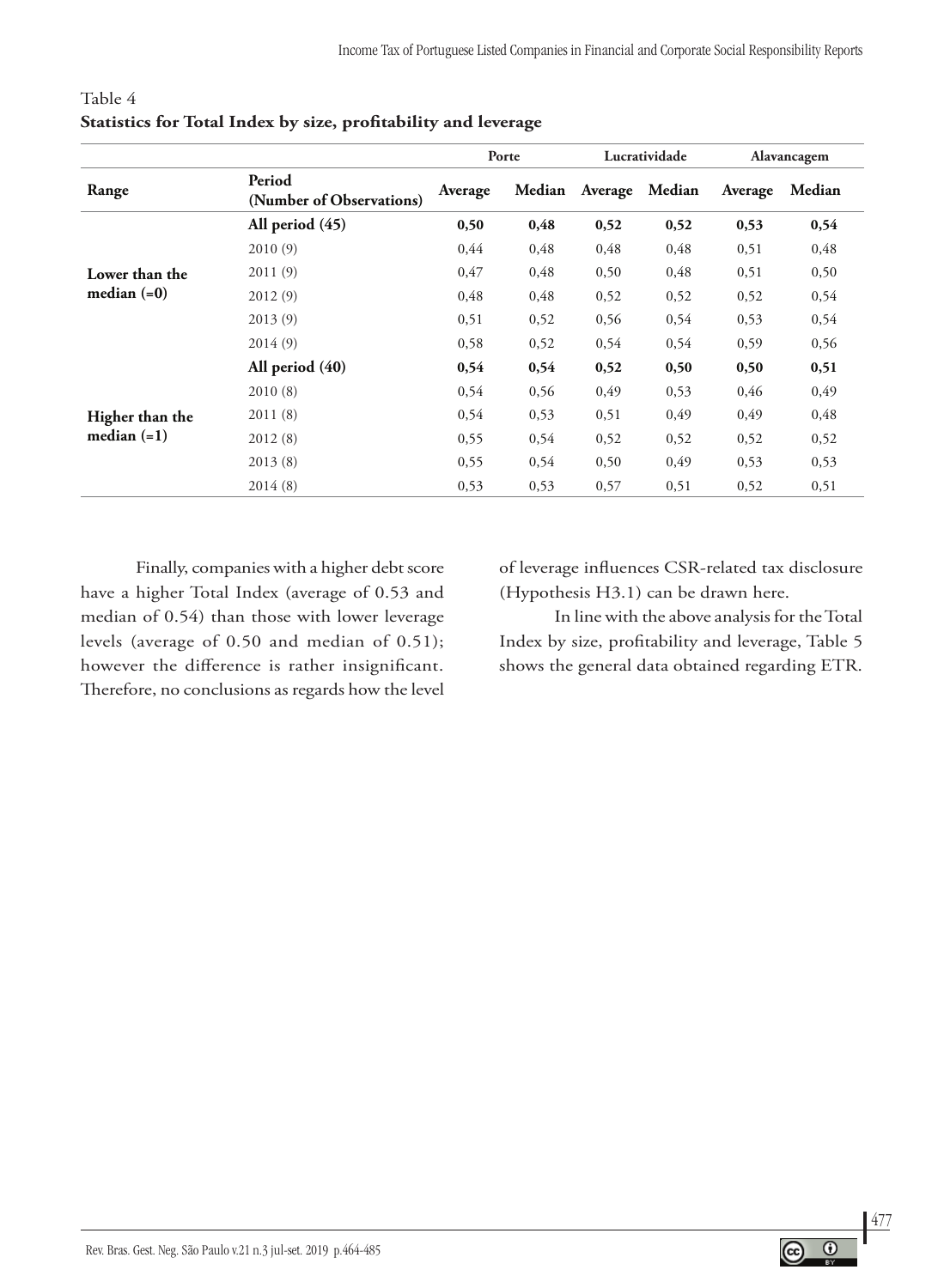|                 |                                    |         | Porte  |         | Lucratividade |         | Alavancagem |
|-----------------|------------------------------------|---------|--------|---------|---------------|---------|-------------|
| Range           | Period<br>(Number of Observations) | Average | Median | Average | Median        | Average | Median      |
|                 | All period (45)                    | 0,50    | 0,48   | 0,52    | 0,52          | 0,53    | 0,54        |
|                 | 2010(9)                            | 0,44    | 0,48   | 0,48    | 0,48          | 0,51    | 0,48        |
| Lower than the  | 2011(9)                            | 0,47    | 0,48   | 0,50    | 0,48          | 0,51    | 0,50        |
| median $(=0)$   | 2012(9)                            | 0,48    | 0,48   | 0,52    | 0,52          | 0,52    | 0,54        |
|                 | 2013(9)                            | 0,51    | 0,52   | 0,56    | 0,54          | 0,53    | 0,54        |
|                 | 2014(9)                            | 0,58    | 0,52   | 0,54    | 0,54          | 0,59    | 0,56        |
|                 | All period $(40)$                  | 0,54    | 0,54   | 0,52    | 0,50          | 0,50    | 0,51        |
|                 | 2010(8)                            | 0,54    | 0,56   | 0,49    | 0,53          | 0,46    | 0,49        |
| Higher than the | 2011(8)                            | 0,54    | 0,53   | 0,51    | 0,49          | 0,49    | 0,48        |
| median $(=1)$   | 2012(8)                            | 0,55    | 0,54   | 0,52    | 0,52          | 0,52    | 0,52        |
|                 | 2013(8)                            | 0,55    | 0,54   | 0,50    | 0,49          | 0,53    | 0,53        |
|                 | 2014(8)                            | 0,53    | 0,53   | 0,57    | 0,51          | 0,52    | 0,51        |

### Table 4 **Statistics for Total Index by size, profitability and leverage**

Finally, companies with a higher debt score have a higher Total Index (average of 0.53 and median of 0.54) than those with lower leverage levels (average of 0.50 and median of 0.51); however the difference is rather insignificant. Therefore, no conclusions as regards how the level of leverage influences CSR-related tax disclosure (Hypothesis H3.1) can be drawn here.

In line with the above analysis for the Total Index by size, profitability and leverage, Table 5 shows the general data obtained regarding ETR.

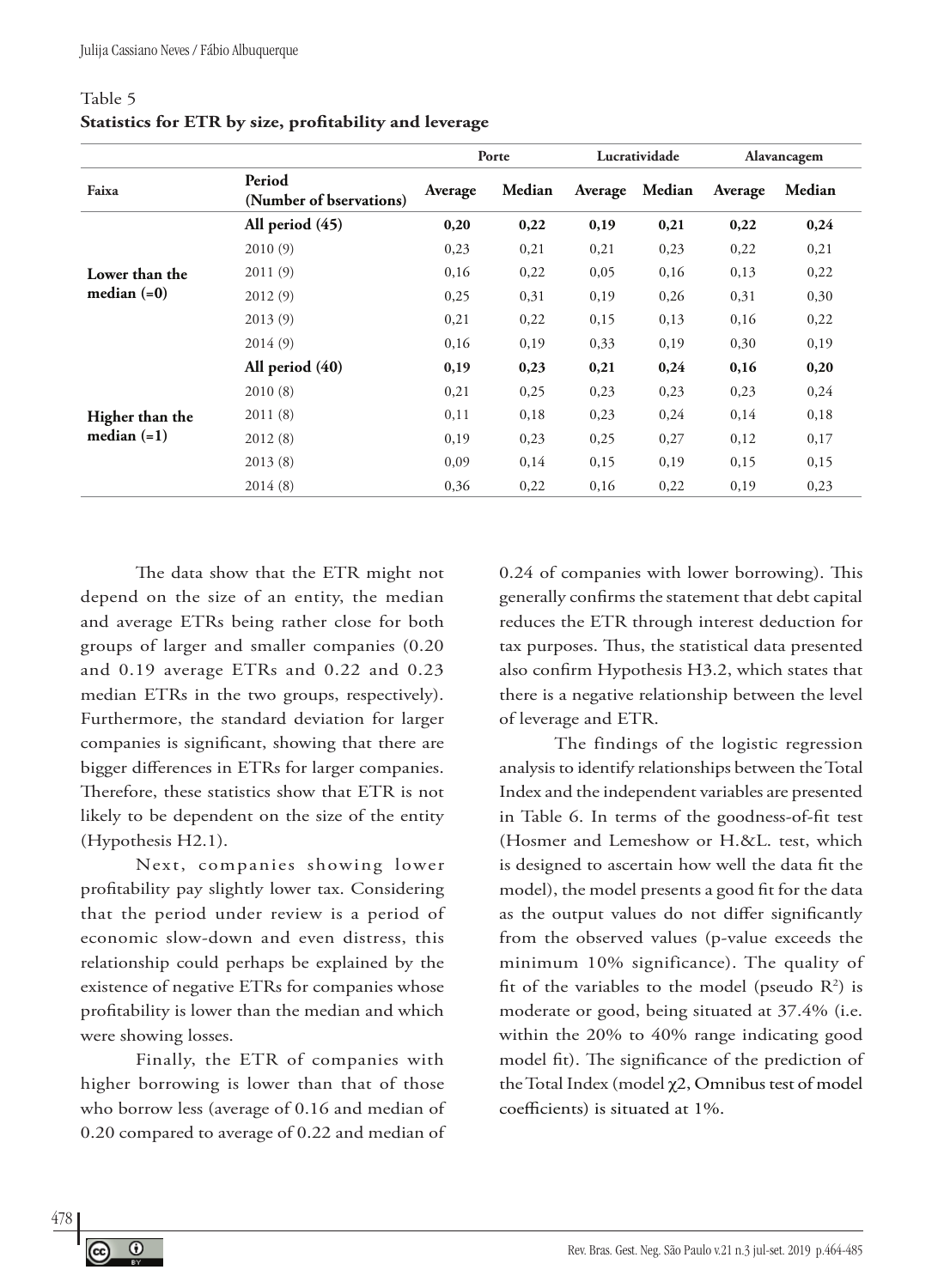| Table 5                                                |  |
|--------------------------------------------------------|--|
| Statistics for ETR by size, profitability and leverage |  |

|                 |                                   |         | Porte  |         | Lucratividade |         | Alavancagem |
|-----------------|-----------------------------------|---------|--------|---------|---------------|---------|-------------|
| Faixa           | Period<br>(Number of bservations) | Average | Median | Average | Median        | Average | Median      |
|                 | All period (45)                   | 0,20    | 0,22   | 0,19    | 0,21          | 0,22    | 0,24        |
|                 | 2010(9)                           | 0,23    | 0,21   | 0,21    | 0,23          | 0,22    | 0,21        |
| Lower than the  | 2011(9)                           | 0,16    | 0,22   | 0,05    | 0,16          | 0,13    | 0,22        |
| median $(=0)$   | 2012(9)                           | 0,25    | 0,31   | 0,19    | 0,26          | 0,31    | 0,30        |
|                 | 2013(9)                           | 0,21    | 0,22   | 0,15    | 0,13          | 0,16    | 0,22        |
|                 | 2014(9)                           | 0,16    | 0,19   | 0,33    | 0,19          | 0,30    | 0,19        |
|                 | All period $(40)$                 | 0,19    | 0,23   | 0,21    | 0,24          | 0,16    | 0,20        |
|                 | 2010(8)                           | 0,21    | 0,25   | 0,23    | 0,23          | 0,23    | 0,24        |
| Higher than the | 2011(8)                           | 0,11    | 0,18   | 0,23    | 0,24          | 0,14    | 0,18        |
| median $(=1)$   | 2012(8)                           | 0,19    | 0,23   | 0,25    | 0,27          | 0,12    | 0,17        |
|                 | 2013(8)                           | 0,09    | 0,14   | 0,15    | 0,19          | 0,15    | 0,15        |
|                 | 2014(8)                           | 0,36    | 0,22   | 0,16    | 0,22          | 0,19    | 0,23        |

The data show that the ETR might not depend on the size of an entity, the median and average ETRs being rather close for both groups of larger and smaller companies (0.20 and 0.19 average ETRs and 0.22 and 0.23 median ETRs in the two groups, respectively). Furthermore, the standard deviation for larger companies is significant, showing that there are bigger differences in ETRs for larger companies. Therefore, these statistics show that ETR is not likely to be dependent on the size of the entity (Hypothesis H2.1).

Next, companies showing lower profitability pay slightly lower tax. Considering that the period under review is a period of economic slow-down and even distress, this relationship could perhaps be explained by the existence of negative ETRs for companies whose profitability is lower than the median and which were showing losses.

Finally, the ETR of companies with higher borrowing is lower than that of those who borrow less (average of 0.16 and median of 0.20 compared to average of 0.22 and median of

0.24 of companies with lower borrowing). This generally confirms the statement that debt capital reduces the ETR through interest deduction for tax purposes. Thus, the statistical data presented also confirm Hypothesis H3.2, which states that there is a negative relationship between the level of leverage and ETR.

The findings of the logistic regression analysis to identify relationships between the Total Index and the independent variables are presented in Table 6. In terms of the goodness-of-fit test (Hosmer and Lemeshow or H.&L. test, which is designed to ascertain how well the data fit the model), the model presents a good fit for the data as the output values do not differ significantly from the observed values (p-value exceeds the minimum 10% significance). The quality of fit of the variables to the model (pseudo  $R^2$ ) is moderate or good, being situated at 37.4% (i.e. within the 20% to 40% range indicating good model fit). The significance of the prediction of the Total Index (model χ2, Omnibus test of model coefficients) is situated at 1%.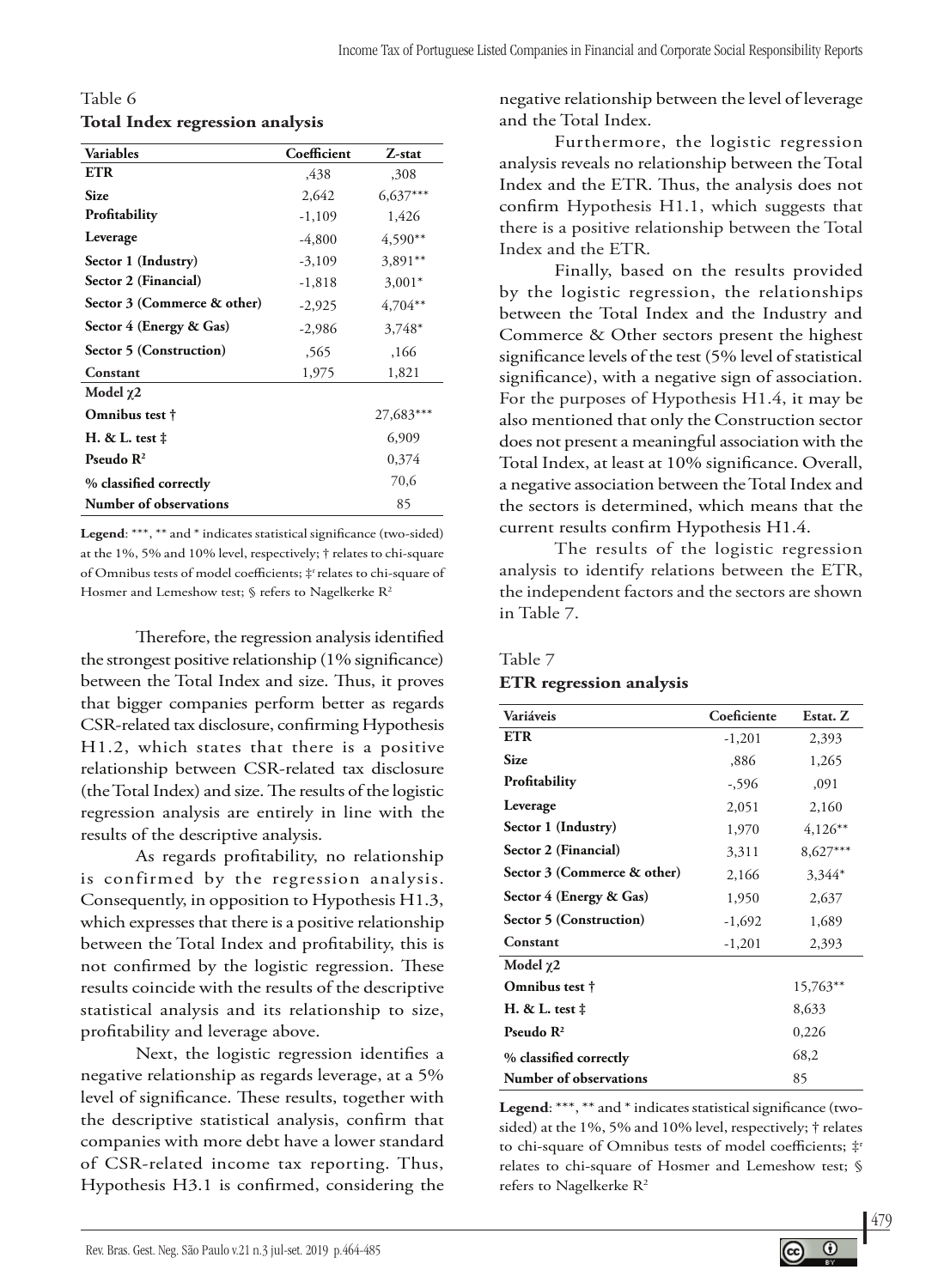Table 6 **Total Index regression analysis**

| <b>Variables</b>            | Coefficient | Z-stat     |  |
|-----------------------------|-------------|------------|--|
| <b>ETR</b>                  | .438        | ,308       |  |
| Size                        | 2,642       | $6,637***$ |  |
| Profitability               | $-1,109$    | 1,426      |  |
| Leverage                    | $-4,800$    | $4,590**$  |  |
| Sector 1 (Industry)         | $-3,109$    | $3.891**$  |  |
| Sector 2 (Financial)        | $-1,818$    | $3,001*$   |  |
| Sector 3 (Commerce & other) | $-2,925$    | $4,704**$  |  |
| Sector 4 (Energy & Gas)     | $-2,986$    | 3,748*     |  |
| Sector 5 (Construction)     | .565        | ,166       |  |
| Constant                    | 1,975       | 1,821      |  |
| Model $\chi$ 2              |             |            |  |
| Omnibus test †              |             | 27,683***  |  |
| H. & L. test ‡              |             | 6,909      |  |
| Pseudo $\mathbf{R}^2$       |             | 0,374      |  |
| % classified correctly      |             | 70,6       |  |
| Number of observations      |             | 85         |  |

**Legend**: \*\*\*, \*\* and \* indicates statistical significance (two-sided) at the 1%, 5% and 10% level, respectively; † relates to chi-square of Omnibus tests of model coefficients; ‡r relates to chi-square of Hosmer and Lemeshow test; § refers to Nagelkerke R<sup>2</sup>

Therefore, the regression analysis identified the strongest positive relationship (1% significance) between the Total Index and size. Thus, it proves that bigger companies perform better as regards CSR-related tax disclosure, confirming Hypothesis H1.2, which states that there is a positive relationship between CSR-related tax disclosure (the Total Index) and size. The results of the logistic regression analysis are entirely in line with the results of the descriptive analysis.

As regards profitability, no relationship is confirmed by the regression analysis. Consequently, in opposition to Hypothesis H1.3, which expresses that there is a positive relationship between the Total Index and profitability, this is not confirmed by the logistic regression. These results coincide with the results of the descriptive statistical analysis and its relationship to size, profitability and leverage above.

Next, the logistic regression identifies a negative relationship as regards leverage, at a 5% level of significance. These results, together with the descriptive statistical analysis, confirm that companies with more debt have a lower standard of CSR-related income tax reporting. Thus, Hypothesis H3.1 is confirmed, considering the negative relationship between the level of leverage and the Total Index.

Furthermore, the logistic regression analysis reveals no relationship between the Total Index and the ETR. Thus, the analysis does not confirm Hypothesis H1.1, which suggests that there is a positive relationship between the Total Index and the ETR.

Finally, based on the results provided by the logistic regression, the relationships between the Total Index and the Industry and Commerce & Other sectors present the highest significance levels of the test (5% level of statistical significance), with a negative sign of association. For the purposes of Hypothesis H1.4, it may be also mentioned that only the Construction sector does not present a meaningful association with the Total Index, at least at 10% significance. Overall, a negative association between the Total Index and the sectors is determined, which means that the current results confirm Hypothesis H1.4.

The results of the logistic regression analysis to identify relations between the ETR, the independent factors and the sectors are shown in Table 7.

#### Table 7

#### **ETR regression analysis**

| Variáveis                   | Coeficiente | Estat. Z   |
|-----------------------------|-------------|------------|
| <b>ETR</b>                  | $-1,201$    | 2,393      |
| <b>Size</b>                 | ,886        | 1,265      |
| Profitability               | $-596$      | ,091       |
| Leverage                    | 2,051       | 2,160      |
| Sector 1 (Industry)         | 1,970       | $4,126**$  |
| Sector 2 (Financial)        | 3,311       | $8,627***$ |
| Sector 3 (Commerce & other) | 2,166       | 3,344*     |
| Sector 4 (Energy & Gas)     | 1,950       | 2,637      |
| Sector 5 (Construction)     | $-1,692$    | 1,689      |
| Constant                    | $-1,201$    | 2,393      |
| Model $\gamma$ 2            |             |            |
| Omnibus test †              |             | 15,763**   |
| H. $&L.$ test $\ddagger$    |             | 8,633      |
| Pseudo $\mathbb{R}^2$       |             | 0,226      |
| % classified correctly      |             | 68,2       |
| Number of observations      |             | 85         |

**Legend**: \*\*\*, \*\* and \* indicates statistical significance (twosided) at the 1%, 5% and 10% level, respectively; † relates to chi-square of Omnibus tests of model coefficients; ‡r relates to chi-square of Hosmer and Lemeshow test; § refers to Nagelkerke R2

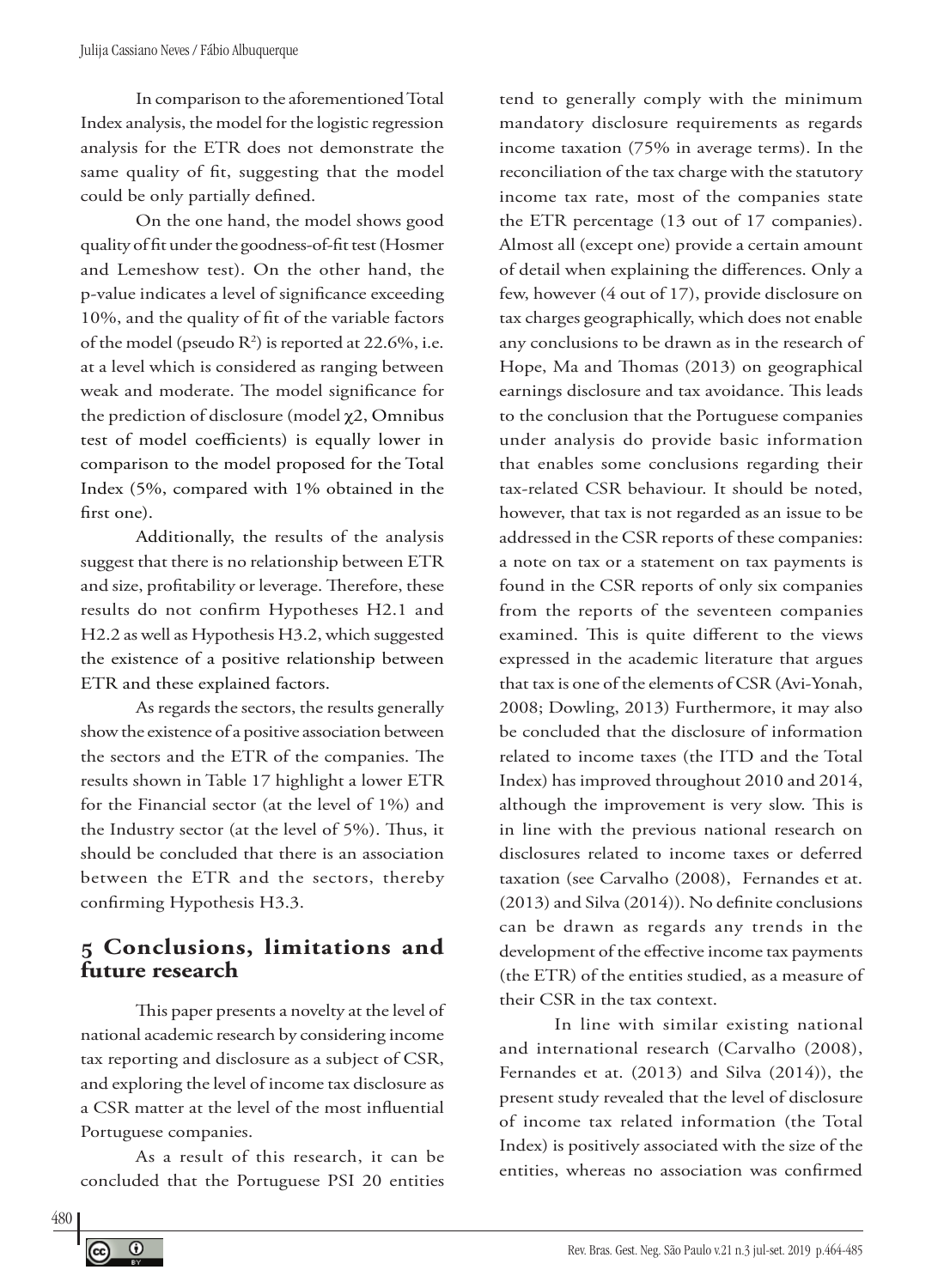In comparison to the aforementioned Total Index analysis, the model for the logistic regression analysis for the ETR does not demonstrate the same quality of fit, suggesting that the model could be only partially defined.

On the one hand, the model shows good quality of fit under the goodness-of-fit test(Hosmer and Lemeshow test). On the other hand, the p-value indicates a level of significance exceeding 10%, and the quality of fit of the variable factors of the model (pseudo  $R^2$ ) is reported at 22.6%, i.e. at a level which is considered as ranging between weak and moderate. The model significance for the prediction of disclosure (model χ2, Omnibus test of model coefficients) is equally lower in comparison to the model proposed for the Total Index (5%, compared with 1% obtained in the first one).

Additionally, the results of the analysis suggest that there is no relationship between ETR and size, profitability or leverage. Therefore, these results do not confirm Hypotheses H2.1 and H2.2 as well as Hypothesis H3.2, which suggested the existence of a positive relationship between ETR and these explained factors.

As regards the sectors, the results generally show the existence of a positive association between the sectors and the ETR of the companies. The results shown in Table 17 highlight a lower ETR for the Financial sector (at the level of 1%) and the Industry sector (at the level of 5%). Thus, it should be concluded that there is an association between the ETR and the sectors, thereby confirming Hypothesis H3.3.

# **5 Conclusions, limitations and future research**

This paper presents a novelty at the level of national academic research by considering income tax reporting and disclosure as a subject of CSR, and exploring the level of income tax disclosure as a CSR matter at the level of the most influential Portuguese companies.

As a result of this research, it can be concluded that the Portuguese PSI 20 entities

tend to generally comply with the minimum mandatory disclosure requirements as regards income taxation (75% in average terms). In the reconciliation of the tax charge with the statutory income tax rate, most of the companies state the ETR percentage (13 out of 17 companies). Almost all (except one) provide a certain amount of detail when explaining the differences. Only a few, however (4 out of 17), provide disclosure on tax charges geographically, which does not enable any conclusions to be drawn as in the research of Hope, Ma and Thomas (2013) on geographical earnings disclosure and tax avoidance. This leads to the conclusion that the Portuguese companies under analysis do provide basic information that enables some conclusions regarding their tax-related CSR behaviour. It should be noted, however, that tax is not regarded as an issue to be addressed in the CSR reports of these companies: a note on tax or a statement on tax payments is found in the CSR reports of only six companies from the reports of the seventeen companies examined. This is quite different to the views expressed in the academic literature that argues that tax is one of the elements of CSR (Avi-Yonah, 2008; Dowling, 2013) Furthermore, it may also be concluded that the disclosure of information related to income taxes (the ITD and the Total Index) has improved throughout 2010 and 2014, although the improvement is very slow. This is in line with the previous national research on disclosures related to income taxes or deferred taxation (see Carvalho (2008), Fernandes et at. (2013) and Silva (2014)). No definite conclusions can be drawn as regards any trends in the development of the effective income tax payments (the ETR) of the entities studied, as a measure of their CSR in the tax context.

In line with similar existing national and international research (Carvalho (2008), Fernandes et at. (2013) and Silva (2014)), the present study revealed that the level of disclosure of income tax related information (the Total Index) is positively associated with the size of the entities, whereas no association was confirmed

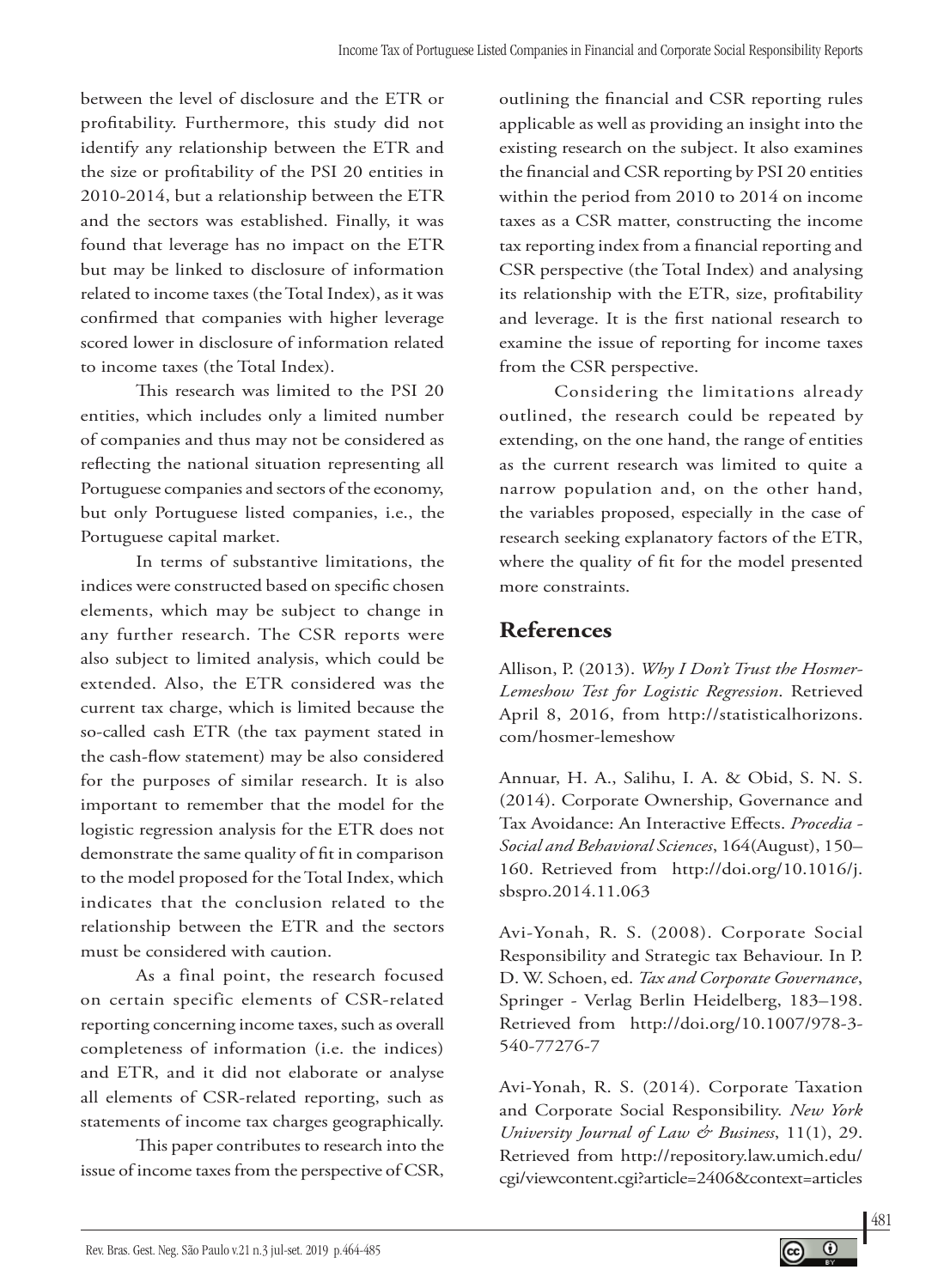between the level of disclosure and the ETR or profitability. Furthermore, this study did not identify any relationship between the ETR and the size or profitability of the PSI 20 entities in 2010-2014, but a relationship between the ETR and the sectors was established. Finally, it was found that leverage has no impact on the ETR but may be linked to disclosure of information related to income taxes (the Total Index), as it was confirmed that companies with higher leverage scored lower in disclosure of information related to income taxes (the Total Index).

This research was limited to the PSI 20 entities, which includes only a limited number of companies and thus may not be considered as reflecting the national situation representing all Portuguese companies and sectors of the economy, but only Portuguese listed companies, i.e., the Portuguese capital market.

In terms of substantive limitations, the indices were constructed based on specific chosen elements, which may be subject to change in any further research. The CSR reports were also subject to limited analysis, which could be extended. Also, the ETR considered was the current tax charge, which is limited because the so-called cash ETR (the tax payment stated in the cash-flow statement) may be also considered for the purposes of similar research. It is also important to remember that the model for the logistic regression analysis for the ETR does not demonstrate the same quality of fit in comparison to the model proposed for the Total Index, which indicates that the conclusion related to the relationship between the ETR and the sectors must be considered with caution.

As a final point, the research focused on certain specific elements of CSR-related reporting concerning income taxes, such as overall completeness of information (i.e. the indices) and ETR, and it did not elaborate or analyse all elements of CSR-related reporting, such as statements of income tax charges geographically.

This paper contributes to research into the issue of income taxes from the perspective of CSR, outlining the financial and CSR reporting rules applicable as well as providing an insight into the existing research on the subject. It also examines the financial and CSR reporting by PSI 20 entities within the period from 2010 to 2014 on income taxes as a CSR matter, constructing the income tax reporting index from a financial reporting and CSR perspective (the Total Index) and analysing its relationship with the ETR, size, profitability and leverage. It is the first national research to examine the issue of reporting for income taxes from the CSR perspective.

Considering the limitations already outlined, the research could be repeated by extending, on the one hand, the range of entities as the current research was limited to quite a narrow population and, on the other hand, the variables proposed, especially in the case of research seeking explanatory factors of the ETR, where the quality of fit for the model presented more constraints.

# **References**

Allison, P. (2013). *Why I Don't Trust the Hosmer-Lemeshow Test for Logistic Regression*. Retrieved April 8, 2016, from http://statisticalhorizons. com/hosmer-lemeshow

Annuar, H. A., Salihu, I. A. & Obid, S. N. S. (2014). Corporate Ownership, Governance and Tax Avoidance: An Interactive Effects. *Procedia - Social and Behavioral Sciences*, 164(August), 150– 160. Retrieved from http://doi.org/10.1016/j. sbspro.2014.11.063

Avi-Yonah, R. S. (2008). Corporate Social Responsibility and Strategic tax Behaviour. In P. D. W. Schoen, ed. *Tax and Corporate Governance*, Springer - Verlag Berlin Heidelberg, 183–198. Retrieved from http://doi.org/10.1007/978-3- 540-77276-7

Avi-Yonah, R. S. (2014). Corporate Taxation and Corporate Social Responsibility. *New York University Journal of Law & Business*, 11(1), 29. Retrieved from http://repository.law.umich.edu/ cgi/viewcontent.cgi?article=2406&context=articles

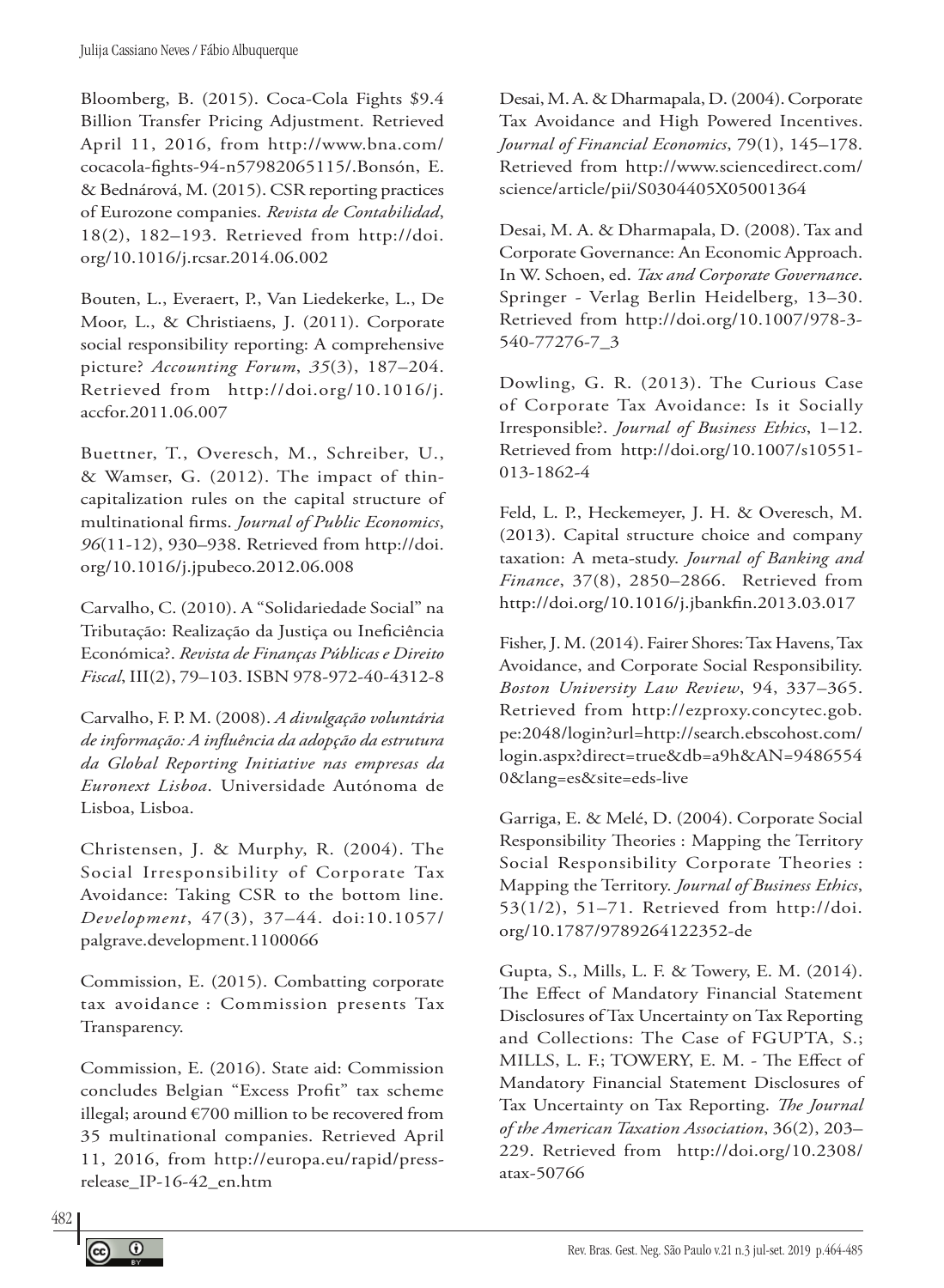Bloomberg, B. (2015). Coca-Cola Fights \$9.4 Billion Transfer Pricing Adjustment. Retrieved April 11, 2016, from http://www.bna.com/ cocacola-fights-94-n57982065115/.Bonsón, E. & Bednárová, M. (2015). CSR reporting practices of Eurozone companies. *Revista de Contabilidad*, 18(2), 182–193. Retrieved from http://doi. org/10.1016/j.rcsar.2014.06.002

Bouten, L., Everaert, P., Van Liedekerke, L., De Moor, L., & Christiaens, J. (2011). Corporate social responsibility reporting: A comprehensive picture? *Accounting Forum*, *35*(3), 187–204. Retrieved from http://doi.org/10.1016/j. accfor.2011.06.007

Buettner, T., Overesch, M., Schreiber, U., & Wamser, G. (2012). The impact of thincapitalization rules on the capital structure of multinational firms. *Journal of Public Economics*, *96*(11-12), 930–938. Retrieved from http://doi. org/10.1016/j.jpubeco.2012.06.008

Carvalho, C. (2010). A "Solidariedade Social" na Tributação: Realização da Justiça ou Ineficiência Económica?. *Revista de Finanças Públicas e Direito Fiscal*, III(2), 79–103. ISBN 978-972-40-4312-8

Carvalho, F. P. M. (2008). *A divulgação voluntária de informação: A influência da adopção da estrutura da Global Reporting Initiative nas empresas da Euronext Lisboa*. Universidade Autónoma de Lisboa, Lisboa.

Christensen, J. & Murphy, R. (2004). The Social Irresponsibility of Corporate Tax Avoidance: Taking CSR to the bottom line. *Development*, 47(3), 37–44. doi:10.1057/ palgrave.development.1100066

Commission, E. (2015). Combatting corporate tax avoidance : Commission presents Tax Transparency.

Commission, E. (2016). State aid: Commission concludes Belgian "Excess Profit" tax scheme illegal; around €700 million to be recovered from 35 multinational companies. Retrieved April 11, 2016, from http://europa.eu/rapid/pressrelease\_IP-16-42\_en.htm

Desai, M. A. & Dharmapala, D. (2004). Corporate Tax Avoidance and High Powered Incentives. *Journal of Financial Economics*, 79(1), 145–178. Retrieved from http://www.sciencedirect.com/ science/article/pii/S0304405X05001364

Desai, M. A. & Dharmapala, D. (2008). Tax and Corporate Governance: An Economic Approach. In W. Schoen, ed. *Tax and Corporate Governance*. Springer - Verlag Berlin Heidelberg, 13–30. Retrieved from http://doi.org/10.1007/978-3- 540-77276-7\_3

Dowling, G. R. (2013). The Curious Case of Corporate Tax Avoidance: Is it Socially Irresponsible?. *Journal of Business Ethics*, 1–12. Retrieved from http://doi.org/10.1007/s10551- 013-1862-4

Feld, L. P., Heckemeyer, J. H. & Overesch, M. (2013). Capital structure choice and company taxation: A meta-study. *Journal of Banking and Finance*, 37(8), 2850–2866. Retrieved from http://doi.org/10.1016/j.jbankfin.2013.03.017

Fisher, J. M. (2014). Fairer Shores: Tax Havens, Tax Avoidance, and Corporate Social Responsibility. *Boston University Law Review*, 94, 337–365. Retrieved from http://ezproxy.concytec.gob. pe:2048/login?url=http://search.ebscohost.com/ login.aspx?direct=true&db=a9h&AN=9486554 0&lang=es&site=eds-live

Garriga, E. & Melé, D. (2004). Corporate Social Responsibility Theories : Mapping the Territory Social Responsibility Corporate Theories : Mapping the Territory. *Journal of Business Ethics*, 53(1/2), 51–71. Retrieved from http://doi. org/10.1787/9789264122352-de

Gupta, S., Mills, L. F. & Towery, E. M. (2014). The Effect of Mandatory Financial Statement Disclosures of Tax Uncertainty on Tax Reporting and Collections: The Case of FGUPTA, S.; MILLS, L. F.; TOWERY, E. M. - The Effect of Mandatory Financial Statement Disclosures of Tax Uncertainty on Tax Reporting. *The Journal of the American Taxation Association*, 36(2), 203– 229. Retrieved from http://doi.org/10.2308/ atax-50766

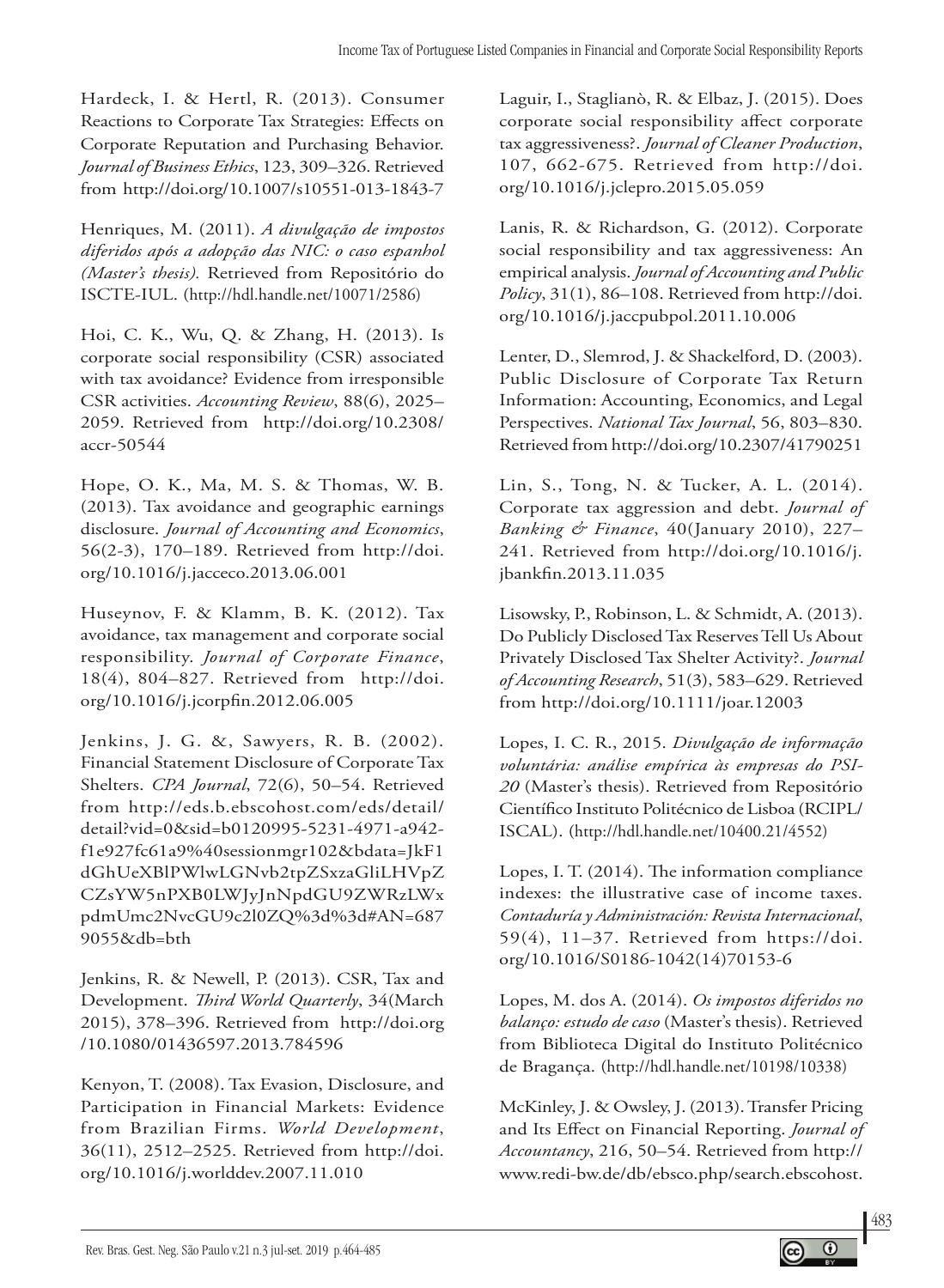Hardeck, I. & Hertl, R. (2013). Consumer Reactions to Corporate Tax Strategies: Effects on Corporate Reputation and Purchasing Behavior. *Journal of Business Ethics*, 123, 309–326. Retrieved from http://doi.org/10.1007/s10551-013-1843-7

Henriques, M. (2011). *A divulgação de impostos diferidos após a adopção das NIC: o caso espanhol (Master's thesis).* Retrieved from Repositório do ISCTE-IUL. (http://hdl.handle.net/10071/2586)

Hoi, C. K., Wu, Q. & Zhang, H. (2013). Is corporate social responsibility (CSR) associated with tax avoidance? Evidence from irresponsible CSR activities. *Accounting Review*, 88(6), 2025– 2059. Retrieved from http://doi.org/10.2308/ accr-50544

Hope, O. K., Ma, M. S. & Thomas, W. B. (2013). Tax avoidance and geographic earnings disclosure. *Journal of Accounting and Economics*, 56(2-3), 170–189. Retrieved from http://doi. org/10.1016/j.jacceco.2013.06.001

Huseynov, F. & Klamm, B. K. (2012). Tax avoidance, tax management and corporate social responsibility. *Journal of Corporate Finance*, 18(4), 804–827. Retrieved from http://doi. org/10.1016/j.jcorpfin.2012.06.005

Jenkins, J. G. &, Sawyers, R. B. (2002). Financial Statement Disclosure of Corporate Tax Shelters. *CPA Journal*, 72(6), 50–54. Retrieved from http://eds.b.ebscohost.com/eds/detail/ detail?vid=0&sid=b0120995-5231-4971-a942 f1e927fc61a9%40sessionmgr102&bdata=JkF1 dGhUeXBlPWlwLGNvb2tpZSxzaGliLHVpZ CZsYW5nPXB0LWJyJnNpdGU9ZWRzLWx pdmUmc2NvcGU9c2l0ZQ%3d%3d#AN=687 9055&db=bth

Jenkins, R. & Newell, P. (2013). CSR, Tax and Development. *Third World Quarterly*, 34(March 2015), 378–396. Retrieved from http://doi.org /10.1080/01436597.2013.784596

Kenyon, T. (2008). Tax Evasion, Disclosure, and Participation in Financial Markets: Evidence from Brazilian Firms. *World Development*, 36(11), 2512–2525. Retrieved from http://doi. org/10.1016/j.worlddev.2007.11.010

Laguir, I., Staglianò, R. & Elbaz, J. (2015). Does corporate social responsibility affect corporate tax aggressiveness?. *Journal of Cleaner Production*, 107, 662-675. Retrieved from http://doi. org/10.1016/j.jclepro.2015.05.059

Lanis, R. & Richardson, G. (2012). Corporate social responsibility and tax aggressiveness: An empirical analysis. *Journal of Accounting and Public Policy*, 31(1), 86–108. Retrieved from http://doi. org/10.1016/j.jaccpubpol.2011.10.006

Lenter, D., Slemrod, J. & Shackelford, D. (2003). Public Disclosure of Corporate Tax Return Information: Accounting, Economics, and Legal Perspectives. *National Tax Journal*, 56, 803–830. Retrieved from http://doi.org/10.2307/41790251

Lin, S., Tong, N. & Tucker, A. L. (2014). Corporate tax aggression and debt. *Journal of Banking & Finance*, 40(January 2010), 227– 241. Retrieved from http://doi.org/10.1016/j. jbankfin.2013.11.035

Lisowsky, P., Robinson, L. & Schmidt, A. (2013). Do Publicly Disclosed Tax Reserves Tell Us About Privately Disclosed Tax Shelter Activity?. *Journal of Accounting Research*, 51(3), 583–629. Retrieved from http://doi.org/10.1111/joar.12003

Lopes, I. C. R., 2015. *Divulgação de informação voluntária: análise empírica às empresas do PSI-20* (Master's thesis). Retrieved from Repositório Científico Instituto Politécnico de Lisboa (RCIPL/ ISCAL). (http://hdl.handle.net/10400.21/4552)

Lopes, I. T. (2014). The information compliance indexes: the illustrative case of income taxes. *Contaduría y Administración: Revista Internacional*, 59(4), 11–37. Retrieved from https://doi. org/10.1016/S0186-1042(14)70153-6

Lopes, M. dos A. (2014). *Os impostos diferidos no balanço: estudo de caso* (Master's thesis). Retrieved from Biblioteca Digital do Instituto Politécnico de Bragança. (http://hdl.handle.net/10198/10338)

McKinley, J. & Owsley, J. (2013). Transfer Pricing and Its Effect on Financial Reporting. *Journal of Accountancy*, 216, 50–54. Retrieved from http:// www.redi-bw.de/db/ebsco.php/search.ebscohost.

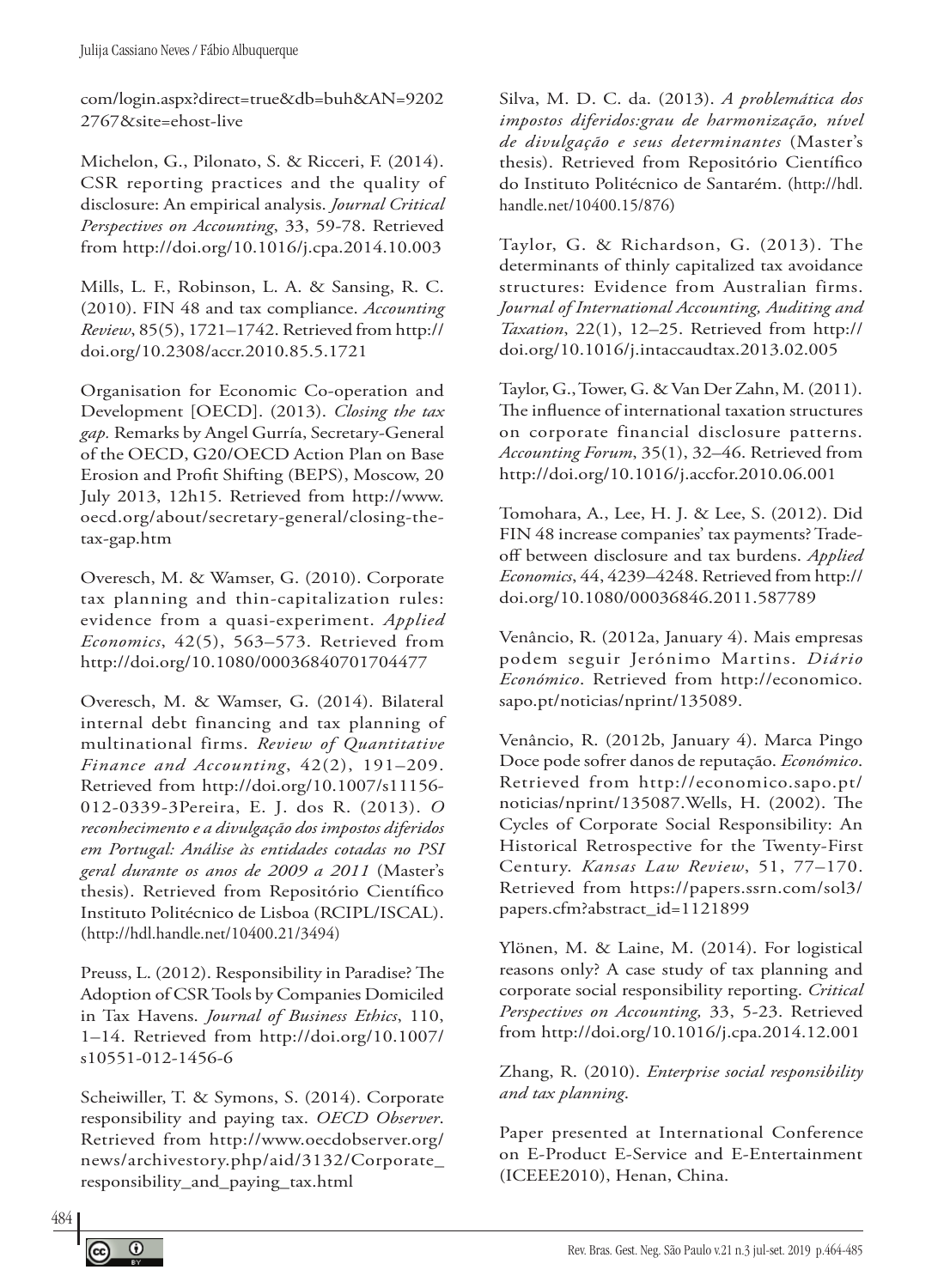com/login.aspx?direct=true&db=buh&AN=9202 2767&site=ehost-live

Michelon, G., Pilonato, S. & Ricceri, F. (2014). CSR reporting practices and the quality of disclosure: An empirical analysis. *Journal Critical Perspectives on Accounting*, 33, 59-78. Retrieved from http://doi.org/10.1016/j.cpa.2014.10.003

Mills, L. F., Robinson, L. A. & Sansing, R. C. (2010). FIN 48 and tax compliance. *Accounting Review*, 85(5), 1721–1742. Retrieved from http:// doi.org/10.2308/accr.2010.85.5.1721

Organisation for Economic Co-operation and Development [OECD]. (2013). *Closing the tax gap.* Remarks by Angel Gurría, Secretary-General of the OECD, G20/OECD Action Plan on Base Erosion and Profit Shifting (BEPS), Moscow, 20 July 2013, 12h15. Retrieved from http://www. oecd.org/about/secretary-general/closing-thetax-gap.htm

Overesch, M. & Wamser, G. (2010). Corporate tax planning and thin-capitalization rules: evidence from a quasi-experiment. *Applied Economics*, 42(5), 563–573. Retrieved from http://doi.org/10.1080/00036840701704477

Overesch, M. & Wamser, G. (2014). Bilateral internal debt financing and tax planning of multinational firms. *Review of Quantitative Finance and Accounting*, 42(2), 191–209. Retrieved from http://doi.org/10.1007/s11156- 012-0339-3Pereira, E. J. dos R. (2013). *O reconhecimento e a divulgação dos impostos diferidos em Portugal: Análise às entidades cotadas no PSI geral durante os anos de 2009 a 2011* (Master's thesis). Retrieved from Repositório Científico Instituto Politécnico de Lisboa (RCIPL/ISCAL). (http://hdl.handle.net/10400.21/3494)

Preuss, L. (2012). Responsibility in Paradise? The Adoption of CSR Tools by Companies Domiciled in Tax Havens. *Journal of Business Ethics*, 110, 1–14. Retrieved from http://doi.org/10.1007/ s10551-012-1456-6

Scheiwiller, T. & Symons, S. (2014). Corporate responsibility and paying tax. *OECD Observer*. Retrieved from http://www.oecdobserver.org/ news/archivestory.php/aid/3132/Corporate\_ responsibility\_and\_paying\_tax.html

Silva, M. D. C. da. (2013). *A problemática dos impostos diferidos:grau de harmonização, nível de divulgação e seus determinantes* (Master's thesis). Retrieved from Repositório Científico do Instituto Politécnico de Santarém. (http://hdl. handle.net/10400.15/876)

Taylor, G. & Richardson, G. (2013). The determinants of thinly capitalized tax avoidance structures: Evidence from Australian firms. *Journal of International Accounting, Auditing and Taxation*, 22(1), 12–25. Retrieved from http:// doi.org/10.1016/j.intaccaudtax.2013.02.005

Taylor, G., Tower, G. & Van Der Zahn, M. (2011). The influence of international taxation structures on corporate financial disclosure patterns. *Accounting Forum*, 35(1), 32–46. Retrieved from http://doi.org/10.1016/j.accfor.2010.06.001

Tomohara, A., Lee, H. J. & Lee, S. (2012). Did FIN 48 increase companies' tax payments? Tradeoff between disclosure and tax burdens. *Applied Economics*, 44, 4239–4248. Retrieved from http:// doi.org/10.1080/00036846.2011.587789

Venâncio, R. (2012a, January 4). Mais empresas podem seguir Jerónimo Martins. *Diário Económico*. Retrieved from http://economico. sapo.pt/noticias/nprint/135089.

Venâncio, R. (2012b, January 4). Marca Pingo Doce pode sofrer danos de reputação. *Económico*. Retrieved from http://economico.sapo.pt/ noticias/nprint/135087.Wells, H. (2002). The Cycles of Corporate Social Responsibility: An Historical Retrospective for the Twenty-First Century. *Kansas Law Review*, 51, 77–170. Retrieved from https://papers.ssrn.com/sol3/ papers.cfm?abstract\_id=1121899

Ylönen, M. & Laine, M. (2014). For logistical reasons only? A case study of tax planning and corporate social responsibility reporting. *Critical Perspectives on Accounting,* 33, 5-23. Retrieved from http://doi.org/10.1016/j.cpa.2014.12.001

Zhang, R. (2010). *Enterprise social responsibility and tax planning*.

Paper presented at International Conference on E-Product E-Service and E-Entertainment (ICEEE2010), Henan, China.